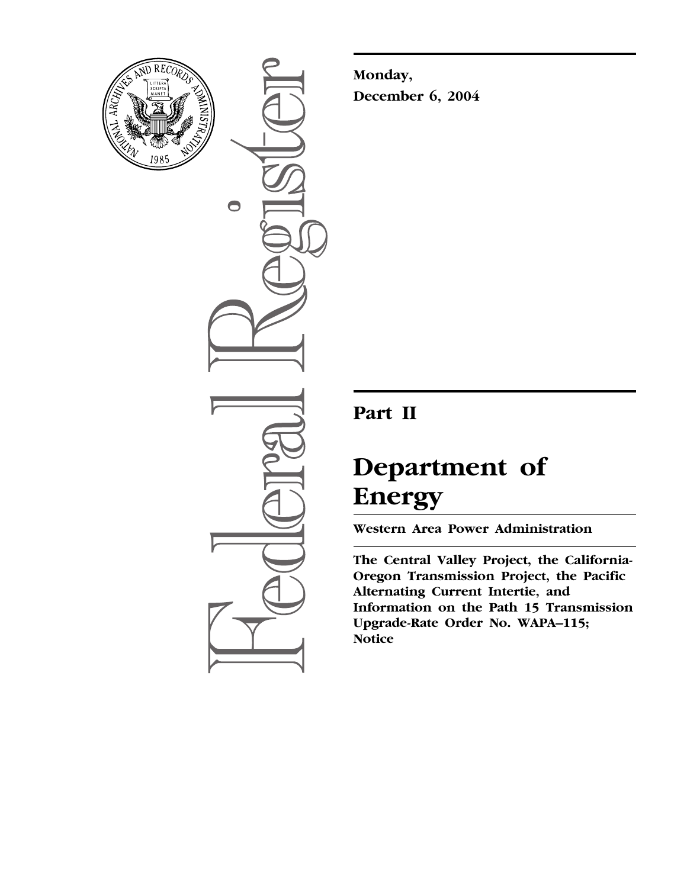

 $\bullet$ 

**Monday, December 6, 2004**

# **Part II**

# **Department of Energy**

**Western Area Power Administration** 

**The Central Valley Project, the California-Oregon Transmission Project, the Pacific Alternating Current Intertie, and Information on the Path 15 Transmission Upgrade-Rate Order No. WAPA–115; Notice**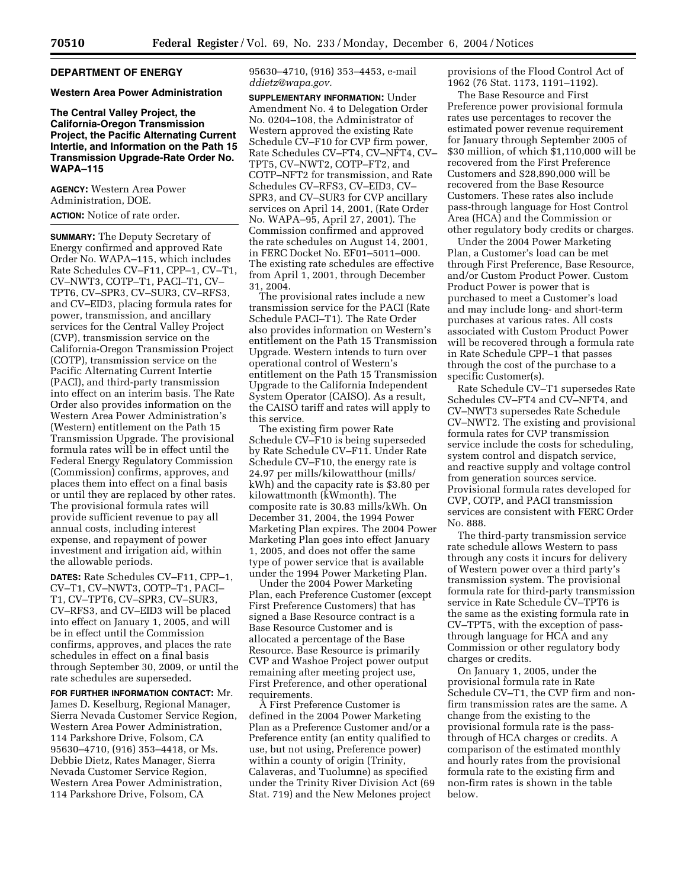# **DEPARTMENT OF ENERGY**

#### **Western Area Power Administration**

# **The Central Valley Project, the California-Oregon Transmission Project, the Pacific Alternating Current Intertie, and Information on the Path 15 Transmission Upgrade-Rate Order No. WAPA–115**

**AGENCY:** Western Area Power Administration, DOE.

**ACTION:** Notice of rate order.

**SUMMARY:** The Deputy Secretary of Energy confirmed and approved Rate Order No. WAPA–115, which includes Rate Schedules CV–F11, CPP–1, CV–T1, CV–NWT3, COTP–T1, PACI–T1, CV– TPT6, CV–SPR3, CV–SUR3, CV–RFS3, and CV–EID3, placing formula rates for power, transmission, and ancillary services for the Central Valley Project (CVP), transmission service on the California-Oregon Transmission Project (COTP), transmission service on the Pacific Alternating Current Intertie (PACI), and third-party transmission into effect on an interim basis. The Rate Order also provides information on the Western Area Power Administration's (Western) entitlement on the Path 15 Transmission Upgrade. The provisional formula rates will be in effect until the Federal Energy Regulatory Commission (Commission) confirms, approves, and places them into effect on a final basis or until they are replaced by other rates. The provisional formula rates will provide sufficient revenue to pay all annual costs, including interest expense, and repayment of power investment and irrigation aid, within the allowable periods.

**DATES:** Rate Schedules CV–F11, CPP–1, CV–T1, CV–NWT3, COTP–T1, PACI– T1, CV–TPT6, CV–SPR3, CV–SUR3, CV–RFS3, and CV–EID3 will be placed into effect on January 1, 2005, and will be in effect until the Commission confirms, approves, and places the rate schedules in effect on a final basis through September 30, 2009, or until the rate schedules are superseded.

**FOR FURTHER INFORMATION CONTACT:** Mr. James D. Keselburg, Regional Manager, Sierra Nevada Customer Service Region, Western Area Power Administration, 114 Parkshore Drive, Folsom, CA 95630–4710, (916) 353–4418, or Ms. Debbie Dietz, Rates Manager, Sierra Nevada Customer Service Region, Western Area Power Administration, 114 Parkshore Drive, Folsom, CA

95630–4710, (916) 353–4453, e-mail *ddietz@wapa.gov.*

**SUPPLEMENTARY INFORMATION:** Under Amendment No. 4 to Delegation Order No. 0204–108, the Administrator of Western approved the existing Rate Schedule CV–F10 for CVP firm power, Rate Schedules CV–FT4, CV–NFT4, CV– TPT5, CV–NWT2, COTP–FT2, and COTP–NFT2 for transmission, and Rate Schedules CV–RFS3, CV–EID3, CV– SPR3, and CV–SUR3 for CVP ancillary services on April 14, 2001, (Rate Order No. WAPA–95, April 27, 2001). The Commission confirmed and approved the rate schedules on August 14, 2001, in FERC Docket No. EF01–5011–000. The existing rate schedules are effective from April 1, 2001, through December 31, 2004.

The provisional rates include a new transmission service for the PACI (Rate Schedule PACI–T1). The Rate Order also provides information on Western's entitlement on the Path 15 Transmission Upgrade. Western intends to turn over operational control of Western's entitlement on the Path 15 Transmission Upgrade to the California Independent System Operator (CAISO). As a result, the CAISO tariff and rates will apply to this service.

The existing firm power Rate Schedule CV–F10 is being superseded by Rate Schedule CV–F11. Under Rate Schedule CV–F10, the energy rate is 24.97 per mills/kilowatthour (mills/ kWh) and the capacity rate is \$3.80 per kilowattmonth (kWmonth). The composite rate is 30.83 mills/kWh. On December 31, 2004, the 1994 Power Marketing Plan expires. The 2004 Power Marketing Plan goes into effect January 1, 2005, and does not offer the same type of power service that is available under the 1994 Power Marketing Plan.

Under the 2004 Power Marketing Plan, each Preference Customer (except First Preference Customers) that has signed a Base Resource contract is a Base Resource Customer and is allocated a percentage of the Base Resource. Base Resource is primarily CVP and Washoe Project power output remaining after meeting project use, First Preference, and other operational requirements.

A First Preference Customer is defined in the 2004 Power Marketing Plan as a Preference Customer and/or a Preference entity (an entity qualified to use, but not using, Preference power) within a county of origin (Trinity, Calaveras, and Tuolumne) as specified under the Trinity River Division Act (69 Stat. 719) and the New Melones project

provisions of the Flood Control Act of 1962 (76 Stat. 1173, 1191–1192).

The Base Resource and First Preference power provisional formula rates use percentages to recover the estimated power revenue requirement for January through September 2005 of \$30 million, of which \$1,110,000 will be recovered from the First Preference Customers and \$28,890,000 will be recovered from the Base Resource Customers. These rates also include pass-through language for Host Control Area (HCA) and the Commission or other regulatory body credits or charges.

Under the 2004 Power Marketing Plan, a Customer's load can be met through First Preference, Base Resource, and/or Custom Product Power. Custom Product Power is power that is purchased to meet a Customer's load and may include long- and short-term purchases at various rates. All costs associated with Custom Product Power will be recovered through a formula rate in Rate Schedule CPP–1 that passes through the cost of the purchase to a specific Customer(s).

Rate Schedule CV–T1 supersedes Rate Schedules CV–FT4 and CV–NFT4, and CV–NWT3 supersedes Rate Schedule CV–NWT2. The existing and provisional formula rates for CVP transmission service include the costs for scheduling, system control and dispatch service, and reactive supply and voltage control from generation sources service. Provisional formula rates developed for CVP, COTP, and PACI transmission services are consistent with FERC Order No. 888.

The third-party transmission service rate schedule allows Western to pass through any costs it incurs for delivery of Western power over a third party's transmission system. The provisional formula rate for third-party transmission service in Rate Schedule CV–TPT6 is the same as the existing formula rate in CV–TPT5, with the exception of passthrough language for HCA and any Commission or other regulatory body charges or credits.

On January 1, 2005, under the provisional formula rate in Rate Schedule CV–T1, the CVP firm and nonfirm transmission rates are the same. A change from the existing to the provisional formula rate is the passthrough of HCA charges or credits. A comparison of the estimated monthly and hourly rates from the provisional formula rate to the existing firm and non-firm rates is shown in the table below.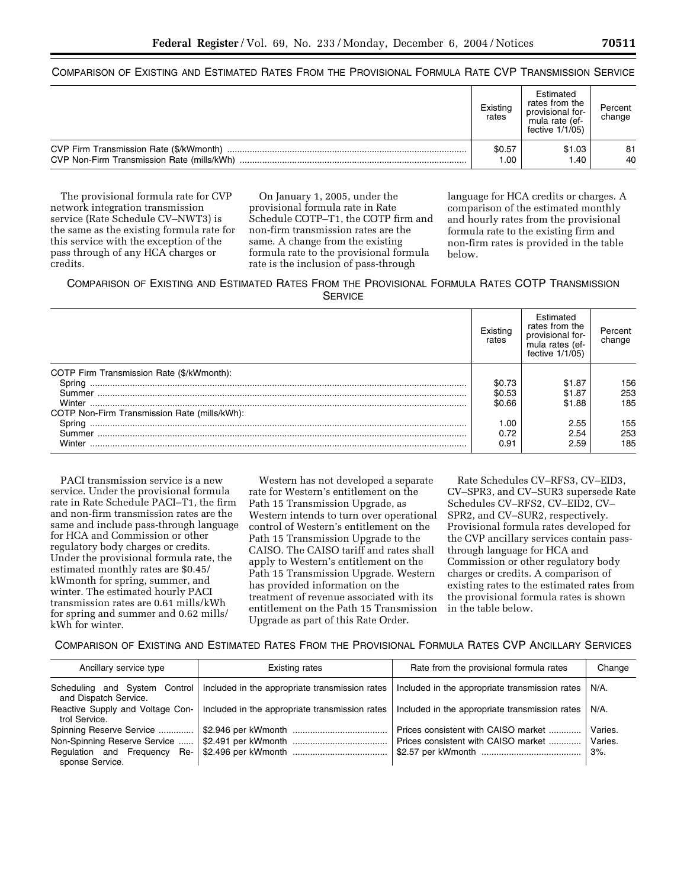# COMPARISON OF EXISTING AND ESTIMATED RATES FROM THE PROVISIONAL FORMULA RATE CVP TRANSMISSION SERVICE

|                                                                                       | Existing<br>rates | Estimated<br>rates from the<br>provisional for-<br>mula rate (ef-<br>fective 1/1/05) | Percent<br>change |
|---------------------------------------------------------------------------------------|-------------------|--------------------------------------------------------------------------------------|-------------------|
| CVP Firm Transmission Rate (\$/kWmonth)<br>CVP Non-Firm Transmission Rate (mills/kWh) | \$0.57<br>1.00    | \$1.03<br>1.40                                                                       | 81<br>40          |

The provisional formula rate for CVP network integration transmission service (Rate Schedule CV–NWT3) is the same as the existing formula rate for this service with the exception of the pass through of any HCA charges or credits.

On January 1, 2005, under the provisional formula rate in Rate Schedule COTP–T1, the COTP firm and non-firm transmission rates are the same. A change from the existing formula rate to the provisional formula rate is the inclusion of pass-through

language for HCA credits or charges. A comparison of the estimated monthly and hourly rates from the provisional formula rate to the existing firm and non-firm rates is provided in the table below.

# COMPARISON OF EXISTING AND ESTIMATED RATES FROM THE PROVISIONAL FORMULA RATES COTP TRANSMISSION **SERVICE**

|                                              | Existing<br>rates | Estimated<br>rates from the<br>provisional for-<br>mula rates (ef-<br>fective $1/1/05$ ) | Percent<br>change |
|----------------------------------------------|-------------------|------------------------------------------------------------------------------------------|-------------------|
| COTP Firm Transmission Rate (\$/kWmonth):    |                   |                                                                                          |                   |
| Spring                                       | \$0.73            | \$1.87                                                                                   | 156               |
| Summer                                       | \$0.53            | \$1.87                                                                                   | 253               |
| Winter                                       | \$0.66            | \$1.88                                                                                   | 185               |
| COTP Non-Firm Transmission Rate (mills/kWh): |                   |                                                                                          |                   |
|                                              | .00               | 2.55                                                                                     | 155               |
| Summer                                       | 0.72              | 2.54                                                                                     | 253               |
| Winter                                       | 0.91              | 2.59                                                                                     | 185               |

PACI transmission service is a new service. Under the provisional formula rate in Rate Schedule PACI–T1, the firm and non-firm transmission rates are the same and include pass-through language for HCA and Commission or other regulatory body charges or credits. Under the provisional formula rate, the estimated monthly rates are \$0.45/ kWmonth for spring, summer, and winter. The estimated hourly PACI transmission rates are 0.61 mills/kWh for spring and summer and 0.62 mills/ kWh for winter.

Western has not developed a separate rate for Western's entitlement on the Path 15 Transmission Upgrade, as Western intends to turn over operational control of Western's entitlement on the Path 15 Transmission Upgrade to the CAISO. The CAISO tariff and rates shall apply to Western's entitlement on the Path 15 Transmission Upgrade. Western has provided information on the treatment of revenue associated with its entitlement on the Path 15 Transmission Upgrade as part of this Rate Order.

Rate Schedules CV–RFS3, CV–EID3, CV–SPR3, and CV–SUR3 supersede Rate Schedules CV–RFS2, CV–EID2, CV– SPR2, and CV–SUR2, respectively. Provisional formula rates developed for the CVP ancillary services contain passthrough language for HCA and Commission or other regulatory body charges or credits. A comparison of existing rates to the estimated rates from the provisional formula rates is shown in the table below.

COMPARISON OF EXISTING AND ESTIMATED RATES FROM THE PROVISIONAL FORMULA RATES CVP ANCILLARY SERVICES

| Ancillary service type                                    | Existing rates                                 | Rate from the provisional formula rates        | Change  |
|-----------------------------------------------------------|------------------------------------------------|------------------------------------------------|---------|
| Scheduling and System<br>Control<br>and Dispatch Service. | Included in the appropriate transmission rates | Included in the appropriate transmission rates | N/A.    |
| Reactive Supply and Voltage Con-<br>trol Service.         | Included in the appropriate transmission rates | Included in the appropriate transmission rates | N/A.    |
| Spinning Reserve Service                                  |                                                | Prices consistent with CAISO market            | Varies. |
| Non-Spinning Reserve Service                              |                                                | Prices consistent with CAISO market            | Varies. |
| Regulation and Frequency<br>Re-<br>sponse Service.        |                                                |                                                | $3%$ .  |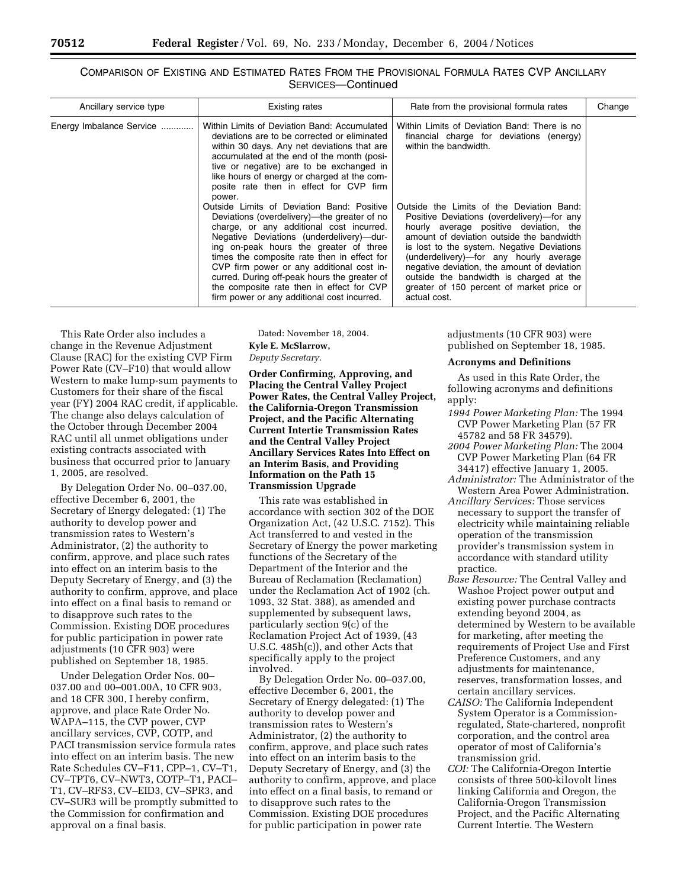# COMPARISON OF EXISTING AND ESTIMATED RATES FROM THE PROVISIONAL FORMULA RATES CVP ANCILLARY SERVICES—Continued

| Ancillary service type   | <b>Existing rates</b>                                                                                                                                                                                                                                                                                                                                                                                                                                               | Rate from the provisional formula rates                                                                                                                                                                                                                                                                                                                                                                                       | Change |
|--------------------------|---------------------------------------------------------------------------------------------------------------------------------------------------------------------------------------------------------------------------------------------------------------------------------------------------------------------------------------------------------------------------------------------------------------------------------------------------------------------|-------------------------------------------------------------------------------------------------------------------------------------------------------------------------------------------------------------------------------------------------------------------------------------------------------------------------------------------------------------------------------------------------------------------------------|--------|
| Energy Imbalance Service | Within Limits of Deviation Band: Accumulated<br>deviations are to be corrected or eliminated<br>within 30 days. Any net deviations that are<br>accumulated at the end of the month (posi-<br>tive or negative) are to be exchanged in<br>like hours of energy or charged at the com-<br>posite rate then in effect for CVP firm<br>power.                                                                                                                           | Within Limits of Deviation Band: There is no<br>financial charge for deviations (energy)<br>within the bandwidth.                                                                                                                                                                                                                                                                                                             |        |
|                          | Outside Limits of Deviation Band: Positive<br>Deviations (overdelivery)—the greater of no<br>charge, or any additional cost incurred.<br>Negative Deviations (underdelivery)—dur-<br>ing on-peak hours the greater of three<br>times the composite rate then in effect for<br>CVP firm power or any additional cost in-<br>curred. During off-peak hours the greater of<br>the composite rate then in effect for CVP<br>firm power or any additional cost incurred. | Outside the Limits of the Deviation Band:<br>Positive Deviations (overdelivery)—for any<br>hourly average positive deviation, the<br>amount of deviation outside the bandwidth<br>is lost to the system. Negative Deviations<br>(underdelivery)—for any hourly average<br>negative deviation, the amount of deviation<br>outside the bandwidth is charged at the<br>greater of 150 percent of market price or<br>actual cost. |        |

This Rate Order also includes a change in the Revenue Adjustment Clause (RAC) for the existing CVP Firm Power Rate (CV–F10) that would allow Western to make lump-sum payments to Customers for their share of the fiscal year (FY) 2004 RAC credit, if applicable. The change also delays calculation of the October through December 2004 RAC until all unmet obligations under existing contracts associated with business that occurred prior to January 1, 2005, are resolved.

By Delegation Order No. 00–037.00, effective December 6, 2001, the Secretary of Energy delegated: (1) The authority to develop power and transmission rates to Western's Administrator, (2) the authority to confirm, approve, and place such rates into effect on an interim basis to the Deputy Secretary of Energy, and (3) the authority to confirm, approve, and place into effect on a final basis to remand or to disapprove such rates to the Commission. Existing DOE procedures for public participation in power rate adjustments (10 CFR 903) were published on September 18, 1985.

Under Delegation Order Nos. 00– 037.00 and 00–001.00A, 10 CFR 903, and 18 CFR 300, I hereby confirm, approve, and place Rate Order No. WAPA–115, the CVP power, CVP ancillary services, CVP, COTP, and PACI transmission service formula rates into effect on an interim basis. The new Rate Schedules CV–F11, CPP–1, CV–T1, CV–TPT6, CV–NWT3, COTP–T1, PACI– T1, CV–RFS3, CV–EID3, CV–SPR3, and CV–SUR3 will be promptly submitted to the Commission for confirmation and approval on a final basis.

Dated: November 18, 2004. **Kyle E. McSlarrow,**  *Deputy Secretary.*

**Information on the Path 15 Transmission Upgrade** 

# **Order Confirming, Approving, and Placing the Central Valley Project Power Rates, the Central Valley Project, the California-Oregon Transmission Project, and the Pacific Alternating Current Intertie Transmission Rates and the Central Valley Project Ancillary Services Rates Into Effect on an Interim Basis, and Providing**

This rate was established in accordance with section 302 of the DOE Organization Act, (42 U.S.C. 7152). This Act transferred to and vested in the Secretary of Energy the power marketing functions of the Secretary of the Department of the Interior and the Bureau of Reclamation (Reclamation) under the Reclamation Act of 1902 (ch. 1093, 32 Stat. 388), as amended and supplemented by subsequent laws, particularly section 9(c) of the Reclamation Project Act of 1939, (43 U.S.C. 485h(c)), and other Acts that specifically apply to the project involved.

By Delegation Order No. 00–037.00, effective December 6, 2001, the Secretary of Energy delegated: (1) The authority to develop power and transmission rates to Western's Administrator, (2) the authority to confirm, approve, and place such rates into effect on an interim basis to the Deputy Secretary of Energy, and (3) the authority to confirm, approve, and place into effect on a final basis, to remand or to disapprove such rates to the Commission. Existing DOE procedures for public participation in power rate

adjustments (10 CFR 903) were published on September 18, 1985.

#### **Acronyms and Definitions**

As used in this Rate Order, the following acronyms and definitions apply:

- *1994 Power Marketing Plan:* The 1994 CVP Power Marketing Plan (57 FR 45782 and 58 FR 34579).
- *2004 Power Marketing Plan:* The 2004 CVP Power Marketing Plan (64 FR 34417) effective January 1, 2005.
- *Administrator:* The Administrator of the Western Area Power Administration.
- *Ancillary Services:* Those services necessary to support the transfer of electricity while maintaining reliable operation of the transmission provider's transmission system in accordance with standard utility practice.
- *Base Resource:* The Central Valley and Washoe Project power output and existing power purchase contracts extending beyond 2004, as determined by Western to be available for marketing, after meeting the requirements of Project Use and First Preference Customers, and any adjustments for maintenance, reserves, transformation losses, and certain ancillary services.
- *CAISO:* The California Independent System Operator is a Commissionregulated, State-chartered, nonprofit corporation, and the control area operator of most of California's transmission grid.
- *COI:* The California-Oregon Intertie consists of three 500-kilovolt lines linking California and Oregon, the California-Oregon Transmission Project, and the Pacific Alternating Current Intertie. The Western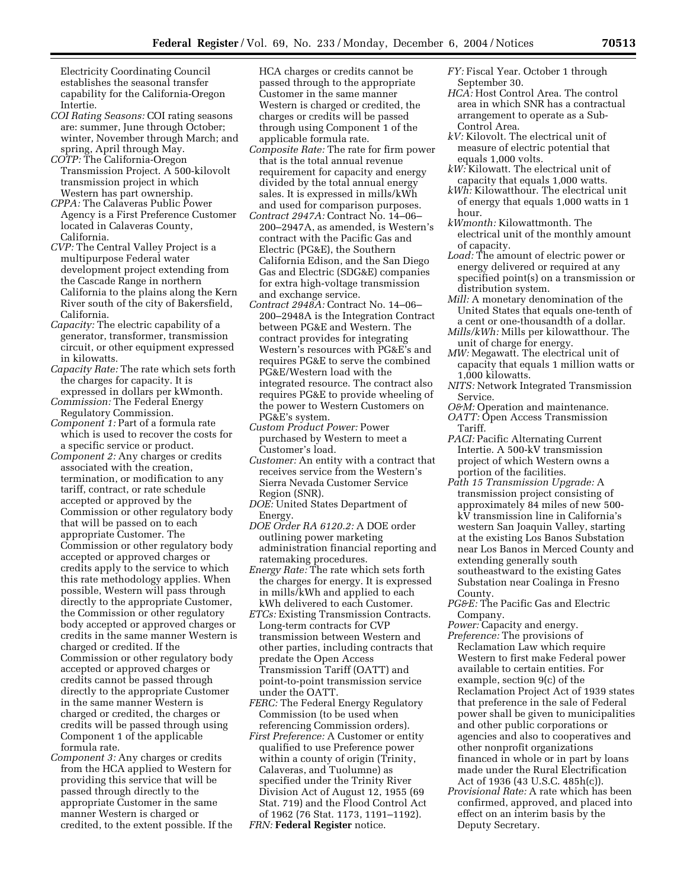Electricity Coordinating Council establishes the seasonal transfer capability for the California-Oregon Intertie.

- *COI Rating Seasons:* COI rating seasons are: summer, June through October; winter, November through March; and spring, April through May.
- *COTP:* The California-Oregon Transmission Project. A 500-kilovolt transmission project in which Western has part ownership.
- *CPPA:* The Calaveras Public Power Agency is a First Preference Customer located in Calaveras County, California.
- *CVP:* The Central Valley Project is a multipurpose Federal water development project extending from the Cascade Range in northern California to the plains along the Kern River south of the city of Bakersfield, California.
- *Capacity:* The electric capability of a generator, transformer, transmission circuit, or other equipment expressed in kilowatts.
- *Capacity Rate:* The rate which sets forth the charges for capacity. It is expressed in dollars per kWmonth.
- *Commission:* The Federal Energy Regulatory Commission.
- *Component 1:* Part of a formula rate which is used to recover the costs for a specific service or product.
- *Component 2:* Any charges or credits associated with the creation, termination, or modification to any tariff, contract, or rate schedule accepted or approved by the Commission or other regulatory body that will be passed on to each appropriate Customer. The Commission or other regulatory body accepted or approved charges or credits apply to the service to which this rate methodology applies. When possible, Western will pass through directly to the appropriate Customer, the Commission or other regulatory body accepted or approved charges or credits in the same manner Western is charged or credited. If the Commission or other regulatory body accepted or approved charges or credits cannot be passed through directly to the appropriate Customer in the same manner Western is charged or credited, the charges or credits will be passed through using Component 1 of the applicable formula rate.
- *Component 3:* Any charges or credits from the HCA applied to Western for providing this service that will be passed through directly to the appropriate Customer in the same manner Western is charged or credited, to the extent possible. If the

HCA charges or credits cannot be passed through to the appropriate Customer in the same manner Western is charged or credited, the charges or credits will be passed through using Component 1 of the applicable formula rate.

- *Composite Rate:* The rate for firm power that is the total annual revenue requirement for capacity and energy divided by the total annual energy sales. It is expressed in mills/kWh and used for comparison purposes.
- *Contract 2947A:* Contract No. 14–06– 200–2947A, as amended, is Western's contract with the Pacific Gas and Electric (PG&E), the Southern California Edison, and the San Diego Gas and Electric (SDG&E) companies for extra high-voltage transmission and exchange service.
- *Contract 2948A:* Contract No. 14–06– 200–2948A is the Integration Contract between PG&E and Western. The contract provides for integrating Western's resources with PG&E's and requires PG&E to serve the combined PG&E/Western load with the integrated resource. The contract also requires PG&E to provide wheeling of the power to Western Customers on PG&E's system.
- *Custom Product Power:* Power purchased by Western to meet a Customer's load.
- *Customer:* An entity with a contract that receives service from the Western's Sierra Nevada Customer Service Region (SNR).
- *DOE:* United States Department of Energy.
- *DOE Order RA 6120.2:* A DOE order outlining power marketing administration financial reporting and ratemaking procedures.
- *Energy Rate:* The rate which sets forth the charges for energy. It is expressed in mills/kWh and applied to each kWh delivered to each Customer.
- *ETCs:* Existing Transmission Contracts. Long-term contracts for CVP transmission between Western and other parties, including contracts that predate the Open Access Transmission Tariff (OATT) and point-to-point transmission service under the OATT.
- *FERC:* The Federal Energy Regulatory Commission (to be used when referencing Commission orders).
- *First Preference:* A Customer or entity qualified to use Preference power within a county of origin (Trinity, Calaveras, and Tuolumne) as specified under the Trinity River Division Act of August 12, 1955 (69 Stat. 719) and the Flood Control Act of 1962 (76 Stat. 1173, 1191–1192).

*FRN:* **Federal Register** notice.

- *FY:* Fiscal Year. October 1 through September 30.
- *HCA:* Host Control Area. The control area in which SNR has a contractual arrangement to operate as a Sub-Control Area.
- *kV:* Kilovolt. The electrical unit of measure of electric potential that equals 1,000 volts.
- *kW:* Kilowatt. The electrical unit of capacity that equals 1,000 watts.
- *kWh:* Kilowatthour. The electrical unit of energy that equals 1,000 watts in 1 hour.
- *kWmonth:* Kilowattmonth. The electrical unit of the monthly amount of capacity.
- *Load:* The amount of electric power or energy delivered or required at any specified point(s) on a transmission or distribution system.
- *Mill:* A monetary denomination of the United States that equals one-tenth of a cent or one-thousandth of a dollar.
- *Mills/kWh:* Mills per kilowatthour. The unit of charge for energy.
- *MW:* Megawatt. The electrical unit of capacity that equals 1 million watts or 1,000 kilowatts.
- *NITS:* Network Integrated Transmission Service.
- *O&M:* Operation and maintenance.
- *OATT:* Open Access Transmission Tariff.
- *PACI:* Pacific Alternating Current Intertie. A 500-kV transmission project of which Western owns a portion of the facilities.
- *Path 15 Transmission Upgrade:* A transmission project consisting of approximately 84 miles of new 500 kV transmission line in California's western San Joaquin Valley, starting at the existing Los Banos Substation near Los Banos in Merced County and extending generally south southeastward to the existing Gates Substation near Coalinga in Fresno County.
- *PG&E:* The Pacific Gas and Electric Company.

*Power:* Capacity and energy.

- *Preference:* The provisions of Reclamation Law which require Western to first make Federal power available to certain entities. For example, section 9(c) of the Reclamation Project Act of 1939 states that preference in the sale of Federal power shall be given to municipalities and other public corporations or agencies and also to cooperatives and other nonprofit organizations financed in whole or in part by loans made under the Rural Electrification Act of 1936 (43 U.S.C. 485h(c)).
- *Provisional Rate:* A rate which has been confirmed, approved, and placed into effect on an interim basis by the Deputy Secretary.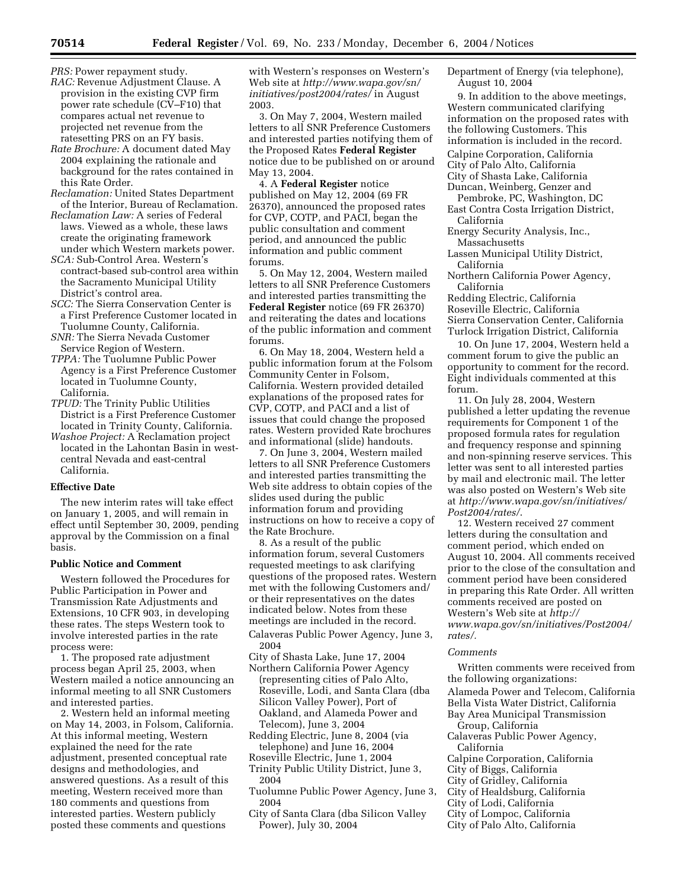PRS: Power repayment study.

- *RAC:* Revenue Adjustment Clause. A provision in the existing CVP firm power rate schedule (CV–F10) that compares actual net revenue to projected net revenue from the ratesetting PRS on an FY basis.
- *Rate Brochure:* A document dated May 2004 explaining the rationale and background for the rates contained in this Rate Order.
- *Reclamation:* United States Department of the Interior, Bureau of Reclamation.
- *Reclamation Law:* A series of Federal laws. Viewed as a whole, these laws create the originating framework under which Western markets power.
- *SCA:* Sub-Control Area. Western's contract-based sub-control area within the Sacramento Municipal Utility District's control area.
- *SCC:* The Sierra Conservation Center is a First Preference Customer located in Tuolumne County, California.
- *SNR:* The Sierra Nevada Customer Service Region of Western.
- *TPPA:* The Tuolumne Public Power Agency is a First Preference Customer located in Tuolumne County, California.
- *TPUD:* The Trinity Public Utilities District is a First Preference Customer located in Trinity County, California.
- *Washoe Project:* A Reclamation project located in the Lahontan Basin in westcentral Nevada and east-central California.

#### **Effective Date**

The new interim rates will take effect on January 1, 2005, and will remain in effect until September 30, 2009, pending approval by the Commission on a final basis.

#### **Public Notice and Comment**

Western followed the Procedures for Public Participation in Power and Transmission Rate Adjustments and Extensions, 10 CFR 903, in developing these rates. The steps Western took to involve interested parties in the rate process were:

1. The proposed rate adjustment process began April 25, 2003, when Western mailed a notice announcing an informal meeting to all SNR Customers and interested parties.

2. Western held an informal meeting on May 14, 2003, in Folsom, California. At this informal meeting, Western explained the need for the rate adjustment, presented conceptual rate designs and methodologies, and answered questions. As a result of this meeting, Western received more than 180 comments and questions from interested parties. Western publicly posted these comments and questions

with Western's responses on Western's Web site at *http://www.wapa.gov/sn/ initiatives/post2004/rates/* in August 2003.

3. On May 7, 2004, Western mailed letters to all SNR Preference Customers and interested parties notifying them of the Proposed Rates **Federal Register** notice due to be published on or around May 13, 2004.

4. A **Federal Register** notice published on May 12, 2004 (69 FR 26370), announced the proposed rates for CVP, COTP, and PACI, began the public consultation and comment period, and announced the public information and public comment forums.

5. On May 12, 2004, Western mailed letters to all SNR Preference Customers and interested parties transmitting the **Federal Register** notice (69 FR 26370) and reiterating the dates and locations of the public information and comment forums.

6. On May 18, 2004, Western held a public information forum at the Folsom Community Center in Folsom, California. Western provided detailed explanations of the proposed rates for CVP, COTP, and PACI and a list of issues that could change the proposed rates. Western provided Rate brochures and informational (slide) handouts.

7. On June 3, 2004, Western mailed letters to all SNR Preference Customers and interested parties transmitting the Web site address to obtain copies of the slides used during the public information forum and providing instructions on how to receive a copy of the Rate Brochure.

8. As a result of the public information forum, several Customers requested meetings to ask clarifying questions of the proposed rates. Western met with the following Customers and/ or their representatives on the dates indicated below. Notes from these meetings are included in the record. Calaveras Public Power Agency, June 3,

- 2004
- City of Shasta Lake, June 17, 2004 Northern California Power Agency (representing cities of Palo Alto, Roseville, Lodi, and Santa Clara (dba Silicon Valley Power), Port of Oakland, and Alameda Power and Telecom), June 3, 2004
- Redding Electric, June 8, 2004 (via telephone) and June 16, 2004 Roseville Electric, June 1, 2004
- Trinity Public Utility District, June 3, 2004
- Tuolumne Public Power Agency, June 3, 2004
- City of Santa Clara (dba Silicon Valley Power), July 30, 2004

Department of Energy (via telephone), August 10, 2004

9. In addition to the above meetings, Western communicated clarifying information on the proposed rates with the following Customers. This information is included in the record. Calpine Corporation, California City of Palo Alto, California City of Shasta Lake, California Duncan, Weinberg, Genzer and

- Pembroke, PC, Washington, DC East Contra Costa Irrigation District,
- California
- Energy Security Analysis, Inc., Massachusetts
- Lassen Municipal Utility District, California
- Northern California Power Agency, California

Redding Electric, California Roseville Electric, California Sierra Conservation Center, California Turlock Irrigation District, California

10. On June 17, 2004, Western held a comment forum to give the public an opportunity to comment for the record. Eight individuals commented at this forum.

11. On July 28, 2004, Western published a letter updating the revenue requirements for Component 1 of the proposed formula rates for regulation and frequency response and spinning and non-spinning reserve services. This letter was sent to all interested parties by mail and electronic mail. The letter was also posted on Western's Web site at *http://www.wapa.gov/sn/initiatives/ Post2004/rates/*.

12. Western received 27 comment letters during the consultation and comment period, which ended on August 10, 2004. All comments received prior to the close of the consultation and comment period have been considered in preparing this Rate Order. All written comments received are posted on Western's Web site at *http:// www.wapa.gov/sn/initiatives/Post2004/ rates/.*

#### *Comments*

Written comments were received from the following organizations:

- Alameda Power and Telecom, California Bella Vista Water District, California
- Bay Area Municipal Transmission Group, California
- Calaveras Public Power Agency, California
- Calpine Corporation, California
- City of Biggs, California
- City of Gridley, California
- City of Healdsburg, California
- City of Lodi, California
- City of Lompoc, California
- City of Palo Alto, California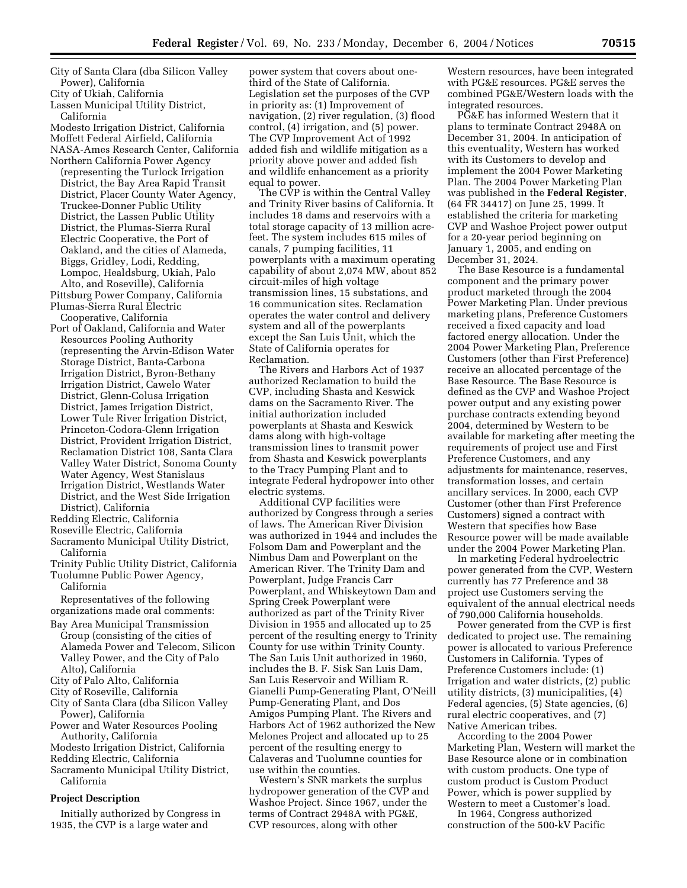City of Santa Clara (dba Silicon Valley Power), California

City of Ukiah, California

Lassen Municipal Utility District, California

Modesto Irrigation District, California Moffett Federal Airfield, California NASA-Ames Research Center, California Northern California Power Agency

(representing the Turlock Irrigation District, the Bay Area Rapid Transit District, Placer County Water Agency, Truckee-Donner Public Utility District, the Lassen Public Utility District, the Plumas-Sierra Rural Electric Cooperative, the Port of Oakland, and the cities of Alameda, Biggs, Gridley, Lodi, Redding, Lompoc, Healdsburg, Ukiah, Palo Alto, and Roseville), California

Pittsburg Power Company, California Plumas-Sierra Rural Electric

Cooperative, California

Port of Oakland, California and Water Resources Pooling Authority (representing the Arvin-Edison Water Storage District, Banta-Carbona Irrigation District, Byron-Bethany Irrigation District, Cawelo Water District, Glenn-Colusa Irrigation District, James Irrigation District, Lower Tule River Irrigation District, Princeton-Codora-Glenn Irrigation District, Provident Irrigation District, Reclamation District 108, Santa Clara Valley Water District, Sonoma County Water Agency, West Stanislaus Irrigation District, Westlands Water District, and the West Side Irrigation District), California

Redding Electric, California

Roseville Electric, California

Sacramento Municipal Utility District, California

Trinity Public Utility District, California Tuolumne Public Power Agency,

California

Representatives of the following organizations made oral comments:

- Bay Area Municipal Transmission Group (consisting of the cities of Alameda Power and Telecom, Silicon Valley Power, and the City of Palo Alto), California
- City of Palo Alto, California

City of Roseville, California

- City of Santa Clara (dba Silicon Valley Power), California
- Power and Water Resources Pooling Authority, California

Modesto Irrigation District, California

- Redding Electric, California
- Sacramento Municipal Utility District, California

#### **Project Description**

Initially authorized by Congress in 1935, the CVP is a large water and

power system that covers about onethird of the State of California. Legislation set the purposes of the CVP in priority as: (1) Improvement of navigation, (2) river regulation, (3) flood control, (4) irrigation, and (5) power. The CVP Improvement Act of 1992 added fish and wildlife mitigation as a priority above power and added fish and wildlife enhancement as a priority equal to power.

The CVP is within the Central Valley and Trinity River basins of California. It includes 18 dams and reservoirs with a total storage capacity of 13 million acrefeet. The system includes 615 miles of canals, 7 pumping facilities, 11 powerplants with a maximum operating capability of about 2,074 MW, about 852 circuit-miles of high voltage transmission lines, 15 substations, and 16 communication sites. Reclamation operates the water control and delivery system and all of the powerplants except the San Luis Unit, which the State of California operates for Reclamation.

The Rivers and Harbors Act of 1937 authorized Reclamation to build the CVP, including Shasta and Keswick dams on the Sacramento River. The initial authorization included powerplants at Shasta and Keswick dams along with high-voltage transmission lines to transmit power from Shasta and Keswick powerplants to the Tracy Pumping Plant and to integrate Federal hydropower into other electric systems.

Additional CVP facilities were authorized by Congress through a series of laws. The American River Division was authorized in 1944 and includes the Folsom Dam and Powerplant and the Nimbus Dam and Powerplant on the American River. The Trinity Dam and Powerplant, Judge Francis Carr Powerplant, and Whiskeytown Dam and Spring Creek Powerplant were authorized as part of the Trinity River Division in 1955 and allocated up to 25 percent of the resulting energy to Trinity County for use within Trinity County. The San Luis Unit authorized in 1960, includes the B. F. Sisk San Luis Dam, San Luis Reservoir and William R. Gianelli Pump-Generating Plant, O'Neill Pump-Generating Plant, and Dos Amigos Pumping Plant. The Rivers and Harbors Act of 1962 authorized the New Melones Project and allocated up to 25 percent of the resulting energy to Calaveras and Tuolumne counties for use within the counties.

Western's SNR markets the surplus hydropower generation of the CVP and Washoe Project. Since 1967, under the terms of Contract 2948A with PG&E, CVP resources, along with other

Western resources, have been integrated with PG&E resources. PG&E serves the combined PG&E/Western loads with the integrated resources.

PG&E has informed Western that it plans to terminate Contract 2948A on December 31, 2004. In anticipation of this eventuality, Western has worked with its Customers to develop and implement the 2004 Power Marketing Plan. The 2004 Power Marketing Plan was published in the **Federal Register**, (64 FR 34417) on June 25, 1999. It established the criteria for marketing CVP and Washoe Project power output for a 20-year period beginning on January 1, 2005, and ending on December 31, 2024.

The Base Resource is a fundamental component and the primary power product marketed through the 2004 Power Marketing Plan. Under previous marketing plans, Preference Customers received a fixed capacity and load factored energy allocation. Under the 2004 Power Marketing Plan, Preference Customers (other than First Preference) receive an allocated percentage of the Base Resource. The Base Resource is defined as the CVP and Washoe Project power output and any existing power purchase contracts extending beyond 2004, determined by Western to be available for marketing after meeting the requirements of project use and First Preference Customers, and any adjustments for maintenance, reserves, transformation losses, and certain ancillary services. In 2000, each CVP Customer (other than First Preference Customers) signed a contract with Western that specifies how Base Resource power will be made available under the 2004 Power Marketing Plan.

In marketing Federal hydroelectric power generated from the CVP, Western currently has 77 Preference and 38 project use Customers serving the equivalent of the annual electrical needs of 790,000 California households.

Power generated from the CVP is first dedicated to project use. The remaining power is allocated to various Preference Customers in California. Types of Preference Customers include: (1) Irrigation and water districts, (2) public utility districts, (3) municipalities, (4) Federal agencies, (5) State agencies, (6) rural electric cooperatives, and (7) Native American tribes.

According to the 2004 Power Marketing Plan, Western will market the Base Resource alone or in combination with custom products. One type of custom product is Custom Product Power, which is power supplied by Western to meet a Customer's load.

In 1964, Congress authorized construction of the 500-kV Pacific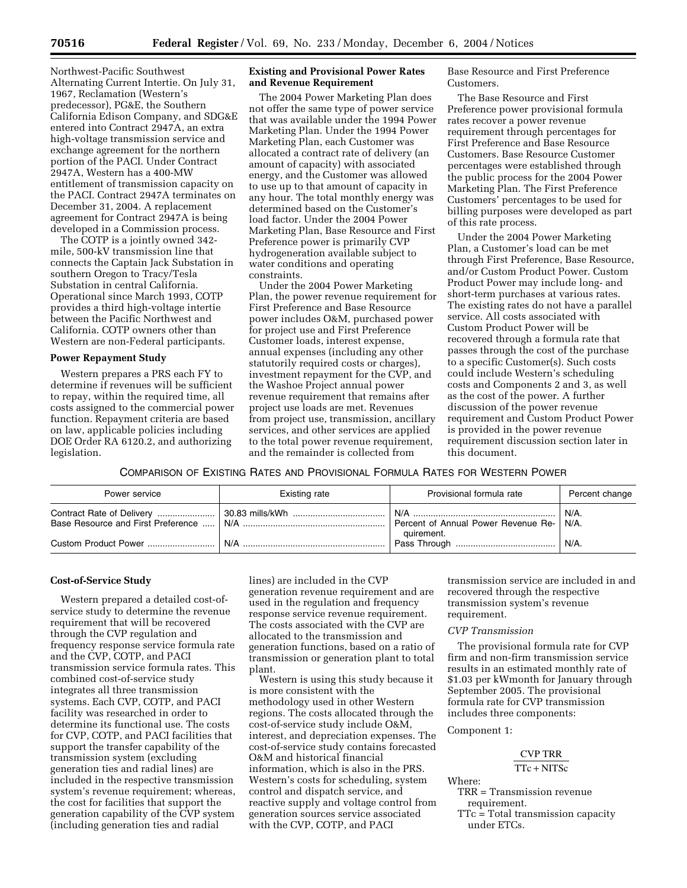Northwest-Pacific Southwest Alternating Current Intertie. On July 31, 1967, Reclamation (Western's predecessor), PG&E, the Southern California Edison Company, and SDG&E entered into Contract 2947A, an extra high-voltage transmission service and exchange agreement for the northern portion of the PACI. Under Contract 2947A, Western has a 400-MW entitlement of transmission capacity on the PACI. Contract 2947A terminates on December 31, 2004. A replacement agreement for Contract 2947A is being developed in a Commission process.

The COTP is a jointly owned 342 mile, 500-kV transmission line that connects the Captain Jack Substation in southern Oregon to Tracy/Tesla Substation in central California. Operational since March 1993, COTP provides a third high-voltage intertie between the Pacific Northwest and California. COTP owners other than Western are non-Federal participants.

# **Power Repayment Study**

Western prepares a PRS each FY to determine if revenues will be sufficient to repay, within the required time, all costs assigned to the commercial power function. Repayment criteria are based on law, applicable policies including DOE Order RA 6120.2, and authorizing legislation.

# **Existing and Provisional Power Rates and Revenue Requirement**

The 2004 Power Marketing Plan does not offer the same type of power service that was available under the 1994 Power Marketing Plan. Under the 1994 Power Marketing Plan, each Customer was allocated a contract rate of delivery (an amount of capacity) with associated energy, and the Customer was allowed to use up to that amount of capacity in any hour. The total monthly energy was determined based on the Customer's load factor. Under the 2004 Power Marketing Plan, Base Resource and First Preference power is primarily CVP hydrogeneration available subject to water conditions and operating constraints.

Under the 2004 Power Marketing Plan, the power revenue requirement for First Preference and Base Resource power includes O&M, purchased power for project use and First Preference Customer loads, interest expense, annual expenses (including any other statutorily required costs or charges), investment repayment for the CVP, and the Washoe Project annual power revenue requirement that remains after project use loads are met. Revenues from project use, transmission, ancillary services, and other services are applied to the total power revenue requirement, and the remainder is collected from

Base Resource and First Preference Customers.

The Base Resource and First Preference power provisional formula rates recover a power revenue requirement through percentages for First Preference and Base Resource Customers. Base Resource Customer percentages were established through the public process for the 2004 Power Marketing Plan. The First Preference Customers' percentages to be used for billing purposes were developed as part of this rate process.

Under the 2004 Power Marketing Plan, a Customer's load can be met through First Preference, Base Resource, and/or Custom Product Power. Custom Product Power may include long- and short-term purchases at various rates. The existing rates do not have a parallel service. All costs associated with Custom Product Power will be recovered through a formula rate that passes through the cost of the purchase to a specific Customer(s). Such costs could include Western's scheduling costs and Components 2 and 3, as well as the cost of the power. A further discussion of the power revenue requirement and Custom Product Power is provided in the power revenue requirement discussion section later in this document.

COMPARISON OF EXISTING RATES AND PROVISIONAL FORMULA RATES FOR WESTERN POWER

| Power service | Existing rate | Provisional formula rate                                      | Percent change |
|---------------|---------------|---------------------------------------------------------------|----------------|
|               |               | N/A<br>Percent of Annual Power Revenue Re- N/A.<br>quirement. | N/A.           |
|               | N/A           |                                                               | N/A.           |

#### **Cost-of-Service Study**

Western prepared a detailed cost-ofservice study to determine the revenue requirement that will be recovered through the CVP regulation and frequency response service formula rate and the CVP, COTP, and PACI transmission service formula rates. This combined cost-of-service study integrates all three transmission systems. Each CVP, COTP, and PACI facility was researched in order to determine its functional use. The costs for CVP, COTP, and PACI facilities that support the transfer capability of the transmission system (excluding generation ties and radial lines) are included in the respective transmission system's revenue requirement; whereas, the cost for facilities that support the generation capability of the CVP system (including generation ties and radial

lines) are included in the CVP generation revenue requirement and are used in the regulation and frequency response service revenue requirement. The costs associated with the CVP are allocated to the transmission and generation functions, based on a ratio of transmission or generation plant to total plant.

Western is using this study because it is more consistent with the methodology used in other Western regions. The costs allocated through the cost-of-service study include O&M, interest, and depreciation expenses. The cost-of-service study contains forecasted O&M and historical financial information, which is also in the PRS. Western's costs for scheduling, system control and dispatch service, and reactive supply and voltage control from generation sources service associated with the CVP, COTP, and PACI

transmission service are included in and recovered through the respective transmission system's revenue requirement.

#### *CVP Transmission*

The provisional formula rate for CVP firm and non-firm transmission service results in an estimated monthly rate of \$1.03 per kWmonth for January through September 2005. The provisional formula rate for CVP transmission includes three components:

Component 1:

#### CVP TRR

# $TTc + NITSc$

Where:

TRR = Transmission revenue requirement.

TTc = Total transmission capacity under ETCs.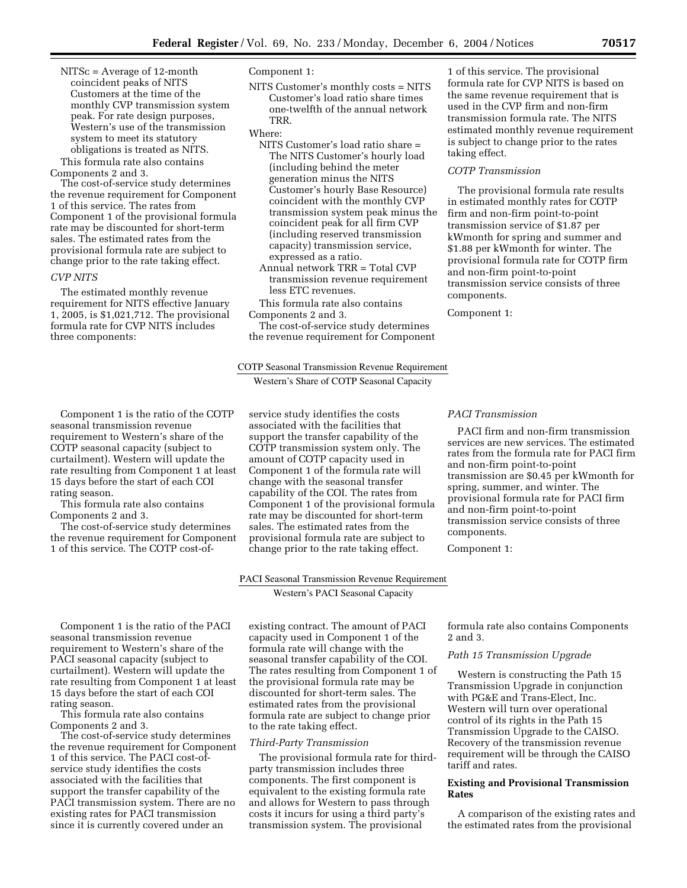NITSc = Average of 12-month coincident peaks of NITS Customers at the time of the monthly CVP transmission system peak. For rate design purposes, Western's use of the transmission system to meet its statutory obligations is treated as NITS.

This formula rate also contains Components 2 and 3.

The cost-of-service study determines the revenue requirement for Component 1 of this service. The rates from Component 1 of the provisional formula rate may be discounted for short-term sales. The estimated rates from the provisional formula rate are subject to change prior to the rate taking effect.

#### *CVP NITS*

The estimated monthly revenue requirement for NITS effective January 1, 2005, is \$1,021,712. The provisional formula rate for CVP NITS includes three components:

Component 1:

- NITS Customer's monthly costs = NITS Customer's load ratio share times one-twelfth of the annual network TRR.
- Where:
	- NITS Customer's load ratio share = The NITS Customer's hourly load (including behind the meter generation minus the NITS Customer's hourly Base Resource) coincident with the monthly CVP transmission system peak minus the coincident peak for all firm CVP (including reserved transmission capacity) transmission service, expressed as a ratio.
	- Annual network TRR = Total CVP transmission revenue requirement less ETC revenues.

This formula rate also contains Components 2 and 3.

The cost-of-service study determines the revenue requirement for Component

COTP Seaso nal Transmission Revenue Requirement

Western's Share of COTP Seasonal Capacity

Component 1 is the ratio of the COTP seasonal transmission revenue requirement to Western's share of the COTP seasonal capacity (subject to curtailment). Western will update the rate resulting from Component 1 at least 15 days before the start of each COI rating season.

This formula rate also contains Components 2 and 3.

The cost-of-service study determines the revenue requirement for Component 1 of this service. The COTP cost-of-

service study identifies the costs associated with the facilities that support the transfer capability of the COTP transmission system only. The amount of COTP capacity used in Component 1 of the formula rate will change with the seasonal transfer capability of the COI. The rates from Component 1 of the provisional formula rate may be discounted for short-term sales. The estimated rates from the provisional formula rate are subject to change prior to the rate taking effect.

PACI Seaso nal Transmission Revenue Requirement Western's PACI Seasonal Capacity

Component 1 is the ratio of the PACI seasonal transmission revenue requirement to Western's share of the PACI seasonal capacity (subject to curtailment). Western will update the rate resulting from Component 1 at least 15 days before the start of each COI rating season.

This formula rate also contains Components 2 and 3.

The cost-of-service study determines the revenue requirement for Component 1 of this service. The PACI cost-ofservice study identifies the costs associated with the facilities that support the transfer capability of the PACI transmission system. There are no existing rates for PACI transmission since it is currently covered under an

existing contract. The amount of PACI capacity used in Component 1 of the formula rate will change with the seasonal transfer capability of the COI. The rates resulting from Component 1 of the provisional formula rate may be discounted for short-term sales. The estimated rates from the provisional formula rate are subject to change prior to the rate taking effect.

#### *Third-Party Transmission*

The provisional formula rate for thirdparty transmission includes three components. The first component is equivalent to the existing formula rate and allows for Western to pass through costs it incurs for using a third party's transmission system. The provisional

1 of this service. The provisional formula rate for CVP NITS is based on the same revenue requirement that is used in the CVP firm and non-firm transmission formula rate. The NITS estimated monthly revenue requirement is subject to change prior to the rates taking effect.

#### *COTP Transmission*

The provisional formula rate results in estimated monthly rates for COTP firm and non-firm point-to-point transmission service of \$1.87 per kWmonth for spring and summer and \$1.88 per kWmonth for winter. The provisional formula rate for COTP firm and non-firm point-to-point transmission service consists of three components.

Component 1:

# *PACI Transmission*

PACI firm and non-firm transmission services are new services. The estimated rates from the formula rate for PACI firm and non-firm point-to-point transmission are \$0.45 per kWmonth for spring, summer, and winter. The provisional formula rate for PACI firm and non-firm point-to-point transmission service consists of three components.

Component 1:

formula rate also contains Components 2 and 3.

#### *Path 15 Transmission Upgrade*

Western is constructing the Path 15 Transmission Upgrade in conjunction with PG&E and Trans-Elect, Inc. Western will turn over operational control of its rights in the Path 15 Transmission Upgrade to the CAISO. Recovery of the transmission revenue requirement will be through the CAISO tariff and rates.

#### **Existing and Provisional Transmission Rates**

A comparison of the existing rates and the estimated rates from the provisional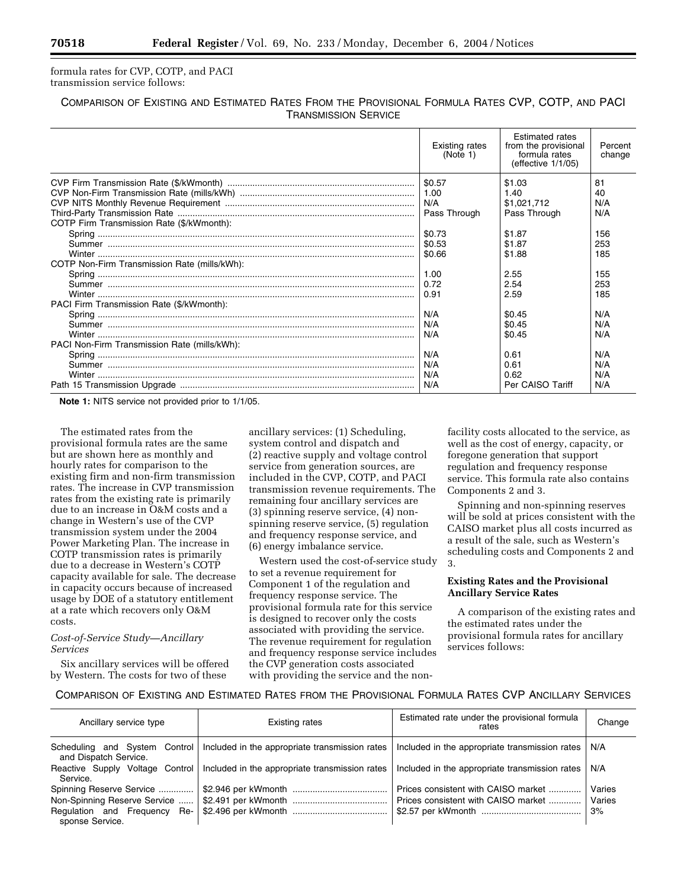formula rates for CVP, COTP, and PACI transmission service follows:

# COMPARISON OF EXISTING AND ESTIMATED RATES FROM THE PROVISIONAL FORMULA RATES CVP, COTP, AND PACI TRANSMISSION SERVICE

|                                              | <b>Existing rates</b><br>(Note 1) | <b>Estimated rates</b><br>from the provisional<br>formula rates<br>(effective $1/1/05$ ) | Percent<br>change |
|----------------------------------------------|-----------------------------------|------------------------------------------------------------------------------------------|-------------------|
|                                              | \$0.57                            | \$1.03                                                                                   | 81                |
|                                              | 1.00                              | 1.40                                                                                     | 40                |
|                                              | N/A                               | \$1,021,712                                                                              | N/A               |
|                                              | Pass Through                      | Pass Through                                                                             | N/A               |
| COTP Firm Transmission Rate (\$/kWmonth):    |                                   |                                                                                          |                   |
|                                              | \$0.73                            | \$1.87                                                                                   | 156               |
|                                              | \$0.53                            | \$1.87                                                                                   | 253               |
|                                              | \$0.66                            | \$1.88                                                                                   | 185               |
| COTP Non-Firm Transmission Rate (mills/kWh): |                                   |                                                                                          |                   |
|                                              | 1.00                              | 2.55                                                                                     | 155               |
|                                              | 0.72                              | 2.54                                                                                     | 253               |
|                                              | 0.91                              | 2.59                                                                                     | 185               |
| PACI Firm Transmission Rate (\$/kWmonth):    |                                   |                                                                                          |                   |
|                                              | N/A                               | \$0.45                                                                                   | N/A               |
|                                              | N/A                               | \$0.45                                                                                   | N/A               |
|                                              | N/A                               | \$0.45                                                                                   | N/A               |
| PACI Non-Firm Transmission Rate (mills/kWh): |                                   |                                                                                          |                   |
|                                              | N/A                               | 0.61                                                                                     | N/A               |
|                                              | N/A                               | 0.61                                                                                     | N/A               |
|                                              | N/A                               | 0.62                                                                                     | N/A               |
|                                              | N/A                               | Per CAISO Tariff                                                                         | N/A               |

**Note 1:** NITS service not provided prior to 1/1/05.

The estimated rates from the provisional formula rates are the same but are shown here as monthly and hourly rates for comparison to the existing firm and non-firm transmission rates. The increase in CVP transmission rates from the existing rate is primarily due to an increase in O&M costs and a change in Western's use of the CVP transmission system under the 2004 Power Marketing Plan. The increase in COTP transmission rates is primarily due to a decrease in Western's COTP capacity available for sale. The decrease in capacity occurs because of increased usage by DOE of a statutory entitlement at a rate which recovers only O&M costs.

# *Cost-of-Service Study—Ancillary Services*

Six ancillary services will be offered by Western. The costs for two of these

ancillary services: (1) Scheduling, system control and dispatch and (2) reactive supply and voltage control service from generation sources, are included in the CVP, COTP, and PACI transmission revenue requirements. The remaining four ancillary services are (3) spinning reserve service, (4) nonspinning reserve service, (5) regulation and frequency response service, and (6) energy imbalance service.

Western used the cost-of-service study to set a revenue requirement for Component 1 of the regulation and frequency response service. The provisional formula rate for this service is designed to recover only the costs associated with providing the service. The revenue requirement for regulation and frequency response service includes the CVP generation costs associated with providing the service and the non-

facility costs allocated to the service, as well as the cost of energy, capacity, or foregone generation that support regulation and frequency response service. This formula rate also contains Components 2 and 3.

Spinning and non-spinning reserves will be sold at prices consistent with the CAISO market plus all costs incurred as a result of the sale, such as Western's scheduling costs and Components 2 and 3.

# **Existing Rates and the Provisional Ancillary Service Rates**

A comparison of the existing rates and the estimated rates under the provisional formula rates for ancillary services follows:

#### COMPARISON OF EXISTING AND ESTIMATED RATES FROM THE PROVISIONAL FORMULA RATES CVP ANCILLARY SERVICES

| Ancillary service type                                 | Existing rates                                 | Estimated rate under the provisional formula<br>rates | Change |
|--------------------------------------------------------|------------------------------------------------|-------------------------------------------------------|--------|
| Scheduling and System Control<br>and Dispatch Service. | Included in the appropriate transmission rates | Included in the appropriate transmission rates        | N/A    |
| Reactive Supply Voltage Control<br>Service.            | Included in the appropriate transmission rates | Included in the appropriate transmission rates        | N/A    |
| Spinning Reserve Service                               |                                                | Prices consistent with CAISO market                   | Varies |
| Non-Spinning Reserve Service                           |                                                | Prices consistent with CAISO market                   | Varies |
| Regulation and Frequency<br>Re-<br>sponse Service.     |                                                |                                                       | 3%     |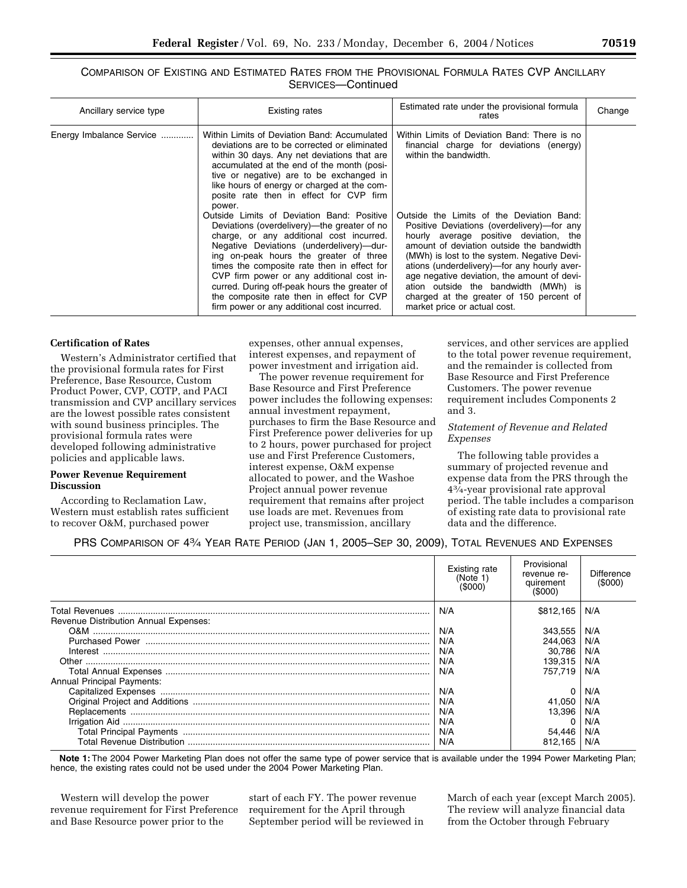# COMPARISON OF EXISTING AND ESTIMATED RATES FROM THE PROVISIONAL FORMULA RATES CVP ANCILLARY SERVICES—Continued

| Ancillary service type   | Existing rates                                                                                                                                                                                                                                                                                                                                                                                                                                                      | Estimated rate under the provisional formula<br>rates                                                                                                                                                                                                                                                                                                                                                                                           | Change |
|--------------------------|---------------------------------------------------------------------------------------------------------------------------------------------------------------------------------------------------------------------------------------------------------------------------------------------------------------------------------------------------------------------------------------------------------------------------------------------------------------------|-------------------------------------------------------------------------------------------------------------------------------------------------------------------------------------------------------------------------------------------------------------------------------------------------------------------------------------------------------------------------------------------------------------------------------------------------|--------|
| Energy Imbalance Service | Within Limits of Deviation Band: Accumulated<br>deviations are to be corrected or eliminated<br>within 30 days. Any net deviations that are<br>accumulated at the end of the month (posi-<br>tive or negative) are to be exchanged in<br>like hours of energy or charged at the com-<br>posite rate then in effect for CVP firm<br>power.                                                                                                                           | Within Limits of Deviation Band: There is no<br>financial charge for deviations (energy)<br>within the bandwidth.                                                                                                                                                                                                                                                                                                                               |        |
|                          | Outside Limits of Deviation Band: Positive<br>Deviations (overdelivery)—the greater of no<br>charge, or any additional cost incurred.<br>Negative Deviations (underdelivery)—dur-<br>ing on-peak hours the greater of three<br>times the composite rate then in effect for<br>CVP firm power or any additional cost in-<br>curred. During off-peak hours the greater of<br>the composite rate then in effect for CVP<br>firm power or any additional cost incurred. | Outside the Limits of the Deviation Band:<br>Positive Deviations (overdelivery)—for any<br>hourly average positive deviation, the<br>amount of deviation outside the bandwidth<br>(MWh) is lost to the system. Negative Devi-<br>ations (underdelivery)-for any hourly aver-<br>age negative deviation, the amount of devi-<br>ation outside the bandwidth (MWh) is<br>charged at the greater of 150 percent of<br>market price or actual cost. |        |

# **Certification of Rates**

Western's Administrator certified that the provisional formula rates for First Preference, Base Resource, Custom Product Power, CVP, COTP, and PACI transmission and CVP ancillary services are the lowest possible rates consistent with sound business principles. The provisional formula rates were developed following administrative policies and applicable laws.

# **Power Revenue Requirement Discussion**

According to Reclamation Law, Western must establish rates sufficient to recover O&M, purchased power

expenses, other annual expenses, interest expenses, and repayment of power investment and irrigation aid.

The power revenue requirement for Base Resource and First Preference power includes the following expenses: annual investment repayment, purchases to firm the Base Resource and First Preference power deliveries for up to 2 hours, power purchased for project use and First Preference Customers, interest expense, O&M expense allocated to power, and the Washoe Project annual power revenue requirement that remains after project use loads are met. Revenues from project use, transmission, ancillary

services, and other services are applied to the total power revenue requirement, and the remainder is collected from Base Resource and First Preference Customers. The power revenue requirement includes Components 2 and 3.

# *Statement of Revenue and Related Expenses*

The following table provides a summary of projected revenue and expense data from the PRS through the 43⁄4-year provisional rate approval period. The table includes a comparison of existing rate data to provisional rate data and the difference.

# PRS COMPARISON OF 43⁄4 YEAR RATE PERIOD (JAN 1, 2005–SEP 30, 2009), TOTAL REVENUES AND EXPENSES

|                                       | Existing rate<br>(Note 1)<br>(\$000) | Provisional<br>revenue re-<br>quirement<br>(S000) | <b>Difference</b><br>(0,00) |
|---------------------------------------|--------------------------------------|---------------------------------------------------|-----------------------------|
|                                       | N/A                                  | \$812.165                                         | N/A                         |
| Revenue Distribution Annual Expenses: |                                      |                                                   |                             |
|                                       | N/A                                  | 343,555                                           | N/A                         |
|                                       | N/A                                  | 244.063                                           | N/A                         |
|                                       | N/A                                  | 30.786                                            | N/A                         |
|                                       | N/A                                  | 139.315                                           | N/A                         |
|                                       | N/A                                  | 757.719                                           | N/A                         |
| <b>Annual Principal Payments:</b>     |                                      |                                                   |                             |
|                                       | N/A                                  |                                                   | N/A                         |
|                                       | N/A                                  | 41,050                                            | N/A                         |
|                                       | N/A                                  | 13.396                                            | N/A                         |
|                                       | N/A                                  |                                                   | N/A                         |
|                                       | N/A                                  | 54,446                                            | N/A                         |
|                                       | N/A                                  | 812.165                                           | N/A                         |

**Note 1:** The 2004 Power Marketing Plan does not offer the same type of power service that is available under the 1994 Power Marketing Plan; hence, the existing rates could not be used under the 2004 Power Marketing Plan.

Western will develop the power revenue requirement for First Preference and Base Resource power prior to the

start of each FY. The power revenue requirement for the April through September period will be reviewed in March of each year (except March 2005). The review will analyze financial data from the October through February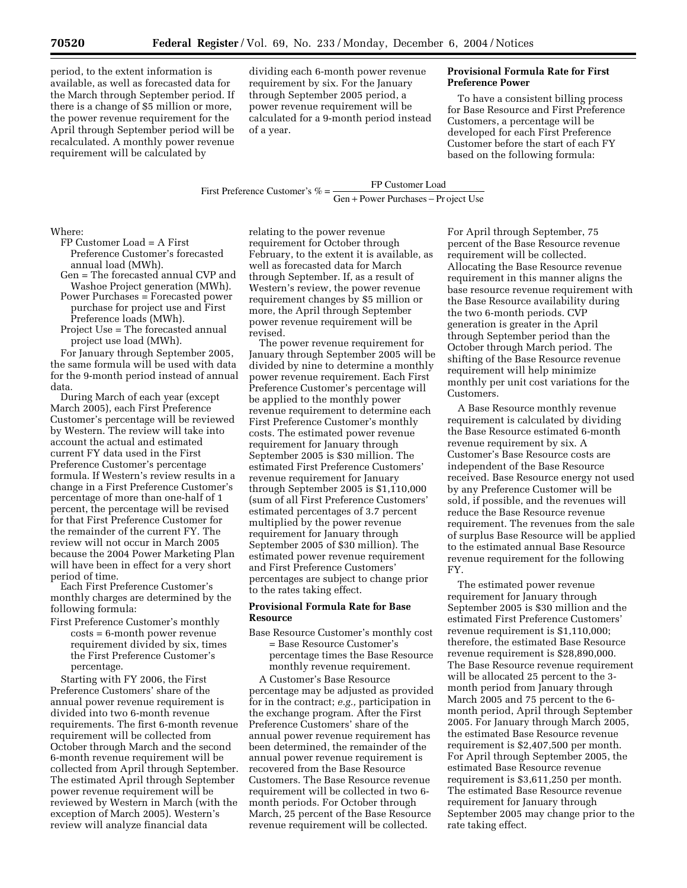period, to the extent information is available, as well as forecasted data for the March through September period. If there is a change of \$5 million or more, the power revenue requirement for the April through September period will be recalculated. A monthly power revenue requirement will be calculated by

dividing each 6-month power revenue requirement by six. For the January through September 2005 period, a power revenue requirement will be calculated for a 9-month period instead of a year.

# **Provisional Formula Rate for First Preference Power**

To have a consistent billing process for Base Resource and First Preference Customers, a percentage will be developed for each First Preference Customer before the start of each FY based on the following formula:

First Preference Customer's  $\% = \frac{FP \text{ Customer Load}}{5 \times 5 \times 10^{-10}}$ Gen + Power Purchases – Project Use

Where:

- FP Customer Load = A First Preference Customer's forecasted annual load (MWh).
- Gen = The forecasted annual CVP and Washoe Project generation (MWh).
- Power Purchases = Forecasted power purchase for project use and First Preference loads (MWh).
- Project Use = The forecasted annual project use load (MWh).

For January through September 2005, the same formula will be used with data for the 9-month period instead of annual data.

During March of each year (except March 2005), each First Preference Customer's percentage will be reviewed by Western. The review will take into account the actual and estimated current FY data used in the First Preference Customer's percentage formula. If Western's review results in a change in a First Preference Customer's percentage of more than one-half of 1 percent, the percentage will be revised for that First Preference Customer for the remainder of the current FY. The review will not occur in March 2005 because the 2004 Power Marketing Plan will have been in effect for a very short period of time.

Each First Preference Customer's monthly charges are determined by the following formula:

First Preference Customer's monthly costs = 6-month power revenue requirement divided by six, times the First Preference Customer's percentage.

Starting with FY 2006, the First Preference Customers' share of the annual power revenue requirement is divided into two 6-month revenue requirements. The first 6-month revenue requirement will be collected from October through March and the second 6-month revenue requirement will be collected from April through September. The estimated April through September power revenue requirement will be reviewed by Western in March (with the exception of March 2005). Western's review will analyze financial data

relating to the power revenue requirement for October through February, to the extent it is available, as well as forecasted data for March through September. If, as a result of Western's review, the power revenue requirement changes by \$5 million or more, the April through September power revenue requirement will be revised.

The power revenue requirement for January through September 2005 will be divided by nine to determine a monthly power revenue requirement. Each First Preference Customer's percentage will be applied to the monthly power revenue requirement to determine each First Preference Customer's monthly costs. The estimated power revenue requirement for January through September 2005 is \$30 million. The estimated First Preference Customers' revenue requirement for January through September 2005 is \$1,110,000 (sum of all First Preference Customers' estimated percentages of 3.7 percent multiplied by the power revenue requirement for January through September 2005 of \$30 million). The estimated power revenue requirement and First Preference Customers' percentages are subject to change prior to the rates taking effect.

# **Provisional Formula Rate for Base Resource**

Base Resource Customer's monthly cost = Base Resource Customer's percentage times the Base Resource monthly revenue requirement.

A Customer's Base Resource percentage may be adjusted as provided for in the contract; *e.g.,* participation in the exchange program. After the First Preference Customers' share of the annual power revenue requirement has been determined, the remainder of the annual power revenue requirement is recovered from the Base Resource Customers. The Base Resource revenue requirement will be collected in two 6 month periods. For October through March, 25 percent of the Base Resource revenue requirement will be collected.

For April through September, 75 percent of the Base Resource revenue requirement will be collected. Allocating the Base Resource revenue requirement in this manner aligns the base resource revenue requirement with the Base Resource availability during the two 6-month periods. CVP generation is greater in the April through September period than the October through March period. The shifting of the Base Resource revenue requirement will help minimize monthly per unit cost variations for the Customers.

A Base Resource monthly revenue requirement is calculated by dividing the Base Resource estimated 6-month revenue requirement by six. A Customer's Base Resource costs are independent of the Base Resource received. Base Resource energy not used by any Preference Customer will be sold, if possible, and the revenues will reduce the Base Resource revenue requirement. The revenues from the sale of surplus Base Resource will be applied to the estimated annual Base Resource revenue requirement for the following FY.

The estimated power revenue requirement for January through September 2005 is \$30 million and the estimated First Preference Customers' revenue requirement is \$1,110,000; therefore, the estimated Base Resource revenue requirement is \$28,890,000. The Base Resource revenue requirement will be allocated 25 percent to the 3 month period from January through March 2005 and 75 percent to the 6 month period, April through September 2005. For January through March 2005, the estimated Base Resource revenue requirement is \$2,407,500 per month. For April through September 2005, the estimated Base Resource revenue requirement is \$3,611,250 per month. The estimated Base Resource revenue requirement for January through September 2005 may change prior to the rate taking effect.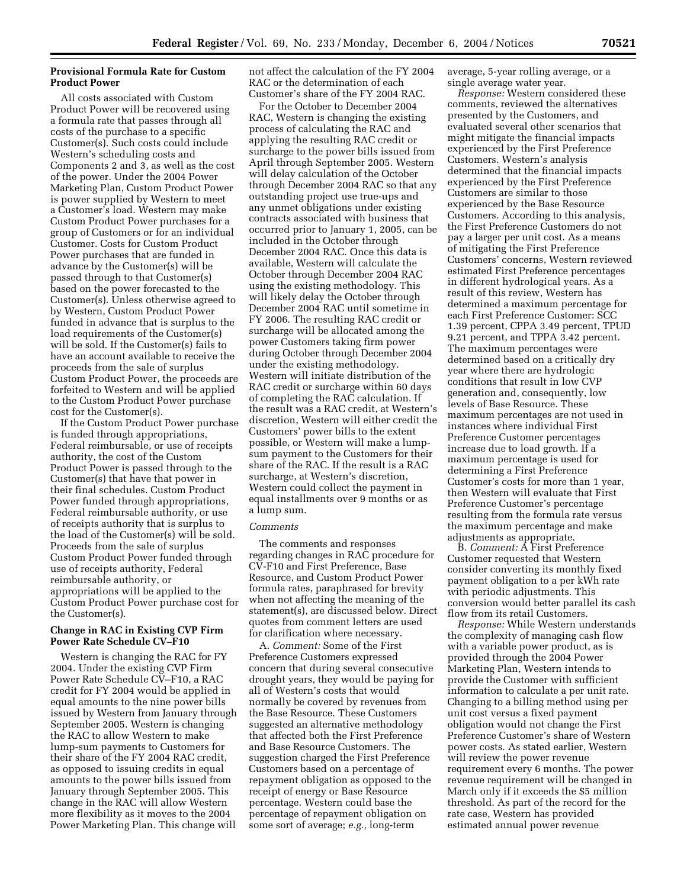# **Provisional Formula Rate for Custom Product Power**

All costs associated with Custom Product Power will be recovered using a formula rate that passes through all costs of the purchase to a specific Customer(s). Such costs could include Western's scheduling costs and Components 2 and 3, as well as the cost of the power. Under the 2004 Power Marketing Plan, Custom Product Power is power supplied by Western to meet a Customer's load. Western may make Custom Product Power purchases for a group of Customers or for an individual Customer. Costs for Custom Product Power purchases that are funded in advance by the Customer(s) will be passed through to that Customer(s) based on the power forecasted to the Customer(s). Unless otherwise agreed to by Western, Custom Product Power funded in advance that is surplus to the load requirements of the Customer(s) will be sold. If the Customer(s) fails to have an account available to receive the proceeds from the sale of surplus Custom Product Power, the proceeds are forfeited to Western and will be applied to the Custom Product Power purchase cost for the Customer(s).

If the Custom Product Power purchase is funded through appropriations, Federal reimbursable, or use of receipts authority, the cost of the Custom Product Power is passed through to the Customer(s) that have that power in their final schedules. Custom Product Power funded through appropriations, Federal reimbursable authority, or use of receipts authority that is surplus to the load of the Customer(s) will be sold. Proceeds from the sale of surplus Custom Product Power funded through use of receipts authority, Federal reimbursable authority, or appropriations will be applied to the Custom Product Power purchase cost for the Customer(s).

#### **Change in RAC in Existing CVP Firm Power Rate Schedule CV–F10**

Western is changing the RAC for FY 2004. Under the existing CVP Firm Power Rate Schedule CV–F10, a RAC credit for FY 2004 would be applied in equal amounts to the nine power bills issued by Western from January through September 2005. Western is changing the RAC to allow Western to make lump-sum payments to Customers for their share of the FY 2004 RAC credit, as opposed to issuing credits in equal amounts to the power bills issued from January through September 2005. This change in the RAC will allow Western more flexibility as it moves to the 2004 Power Marketing Plan. This change will

not affect the calculation of the FY 2004 RAC or the determination of each Customer's share of the FY 2004 RAC.

For the October to December 2004 RAC, Western is changing the existing process of calculating the RAC and applying the resulting RAC credit or surcharge to the power bills issued from April through September 2005. Western will delay calculation of the October through December 2004 RAC so that any outstanding project use true-ups and any unmet obligations under existing contracts associated with business that occurred prior to January 1, 2005, can be included in the October through December 2004 RAC. Once this data is available, Western will calculate the October through December 2004 RAC using the existing methodology. This will likely delay the October through December 2004 RAC until sometime in FY 2006. The resulting RAC credit or surcharge will be allocated among the power Customers taking firm power during October through December 2004 under the existing methodology. Western will initiate distribution of the RAC credit or surcharge within 60 days of completing the RAC calculation. If the result was a RAC credit, at Western's discretion, Western will either credit the Customers' power bills to the extent possible, or Western will make a lumpsum payment to the Customers for their share of the RAC. If the result is a RAC surcharge, at Western's discretion, Western could collect the payment in equal installments over 9 months or as a lump sum.

#### *Comments*

The comments and responses regarding changes in RAC procedure for CV-F10 and First Preference, Base Resource, and Custom Product Power formula rates, paraphrased for brevity when not affecting the meaning of the statement(s), are discussed below. Direct quotes from comment letters are used for clarification where necessary.

A. *Comment:* Some of the First Preference Customers expressed concern that during several consecutive drought years, they would be paying for all of Western's costs that would normally be covered by revenues from the Base Resource. These Customers suggested an alternative methodology that affected both the First Preference and Base Resource Customers. The suggestion charged the First Preference Customers based on a percentage of repayment obligation as opposed to the receipt of energy or Base Resource percentage. Western could base the percentage of repayment obligation on some sort of average; *e.g.,* long-term

average, 5-year rolling average, or a single average water year.

*Response:* Western considered these comments, reviewed the alternatives presented by the Customers, and evaluated several other scenarios that might mitigate the financial impacts experienced by the First Preference Customers. Western's analysis determined that the financial impacts experienced by the First Preference Customers are similar to those experienced by the Base Resource Customers. According to this analysis, the First Preference Customers do not pay a larger per unit cost. As a means of mitigating the First Preference Customers' concerns, Western reviewed estimated First Preference percentages in different hydrological years. As a result of this review, Western has determined a maximum percentage for each First Preference Customer: SCC 1.39 percent, CPPA 3.49 percent, TPUD 9.21 percent, and TPPA 3.42 percent. The maximum percentages were determined based on a critically dry year where there are hydrologic conditions that result in low CVP generation and, consequently, low levels of Base Resource. These maximum percentages are not used in instances where individual First Preference Customer percentages increase due to load growth. If a maximum percentage is used for determining a First Preference Customer's costs for more than 1 year, then Western will evaluate that First Preference Customer's percentage resulting from the formula rate versus the maximum percentage and make adjustments as appropriate.

B. *Comment:* A First Preference Customer requested that Western consider converting its monthly fixed payment obligation to a per kWh rate with periodic adjustments. This conversion would better parallel its cash flow from its retail Customers.

*Response:* While Western understands the complexity of managing cash flow with a variable power product, as is provided through the 2004 Power Marketing Plan, Western intends to provide the Customer with sufficient information to calculate a per unit rate. Changing to a billing method using per unit cost versus a fixed payment obligation would not change the First Preference Customer's share of Western power costs. As stated earlier, Western will review the power revenue requirement every 6 months. The power revenue requirement will be changed in March only if it exceeds the \$5 million threshold. As part of the record for the rate case, Western has provided estimated annual power revenue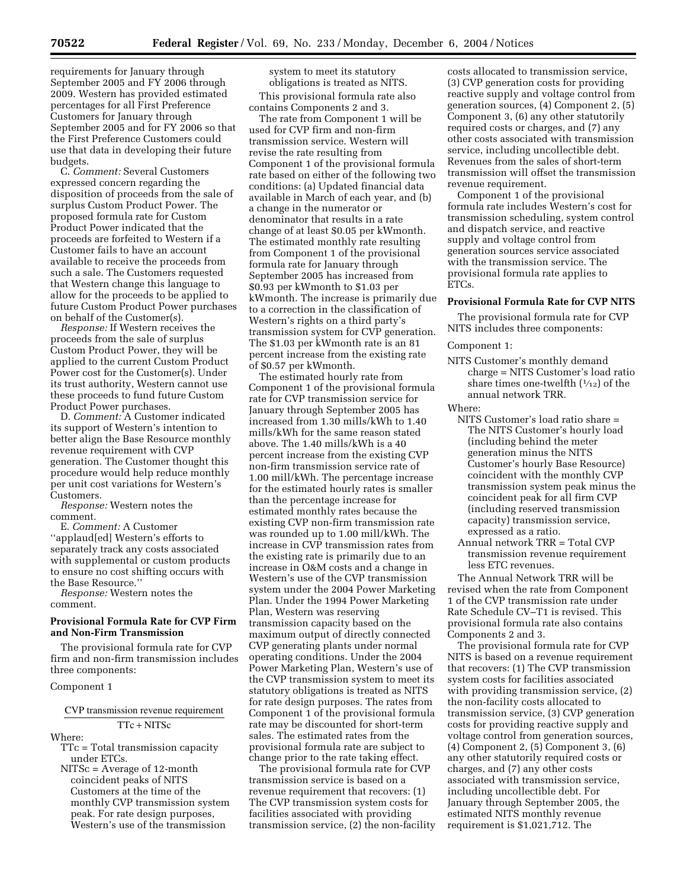requirements for January through September 2005 and FY 2006 through 2009. Western has provided estimated percentages for all First Preference Customers for January through September 2005 and for FY 2006 so that the First Preference Customers could use that data in developing their future budgets.

C. *Comment:* Several Customers expressed concern regarding the disposition of proceeds from the sale of surplus Custom Product Power. The proposed formula rate for Custom Product Power indicated that the proceeds are forfeited to Western if a Customer fails to have an account available to receive the proceeds from such a sale. The Customers requested that Western change this language to allow for the proceeds to be applied to future Custom Product Power purchases on behalf of the Customer(s).

*Response:* If Western receives the proceeds from the sale of surplus Custom Product Power, they will be applied to the current Custom Product Power cost for the Customer(s). Under its trust authority, Western cannot use these proceeds to fund future Custom Product Power purchases.

D. *Comment:* A Customer indicated its support of Western's intention to better align the Base Resource monthly revenue requirement with CVP generation. The Customer thought this procedure would help reduce monthly per unit cost variations for Western's Customers.

*Response:* Western notes the comment.

E. *Comment:* A Customer ''applaud[ed] Western's efforts to separately track any costs associated with supplemental or custom products to ensure no cost shifting occurs with the Base Resource.''

*Response:* Western notes the comment.

# **Provisional Formula Rate for CVP Firm and Non-Firm Transmission**

The provisional formula rate for CVP firm and non-firm transmission includes three components:

#### Component 1

CVP transm ission revenue requirement

# TTc + NITSc

Where:

- TTc = Total transmission capacity under ETCs.
- NITSc = Average of 12-month coincident peaks of NITS Customers at the time of the monthly CVP transmission system peak. For rate design purposes, Western's use of the transmission

system to meet its statutory obligations is treated as NITS. This provisional formula rate also contains Components 2 and 3.

The rate from Component 1 will be used for CVP firm and non-firm transmission service. Western will revise the rate resulting from Component 1 of the provisional formula rate based on either of the following two conditions: (a) Updated financial data available in March of each year, and (b) a change in the numerator or denominator that results in a rate change of at least \$0.05 per kWmonth. The estimated monthly rate resulting from Component 1 of the provisional formula rate for January through September 2005 has increased from \$0.93 per kWmonth to \$1.03 per kWmonth. The increase is primarily due to a correction in the classification of Western's rights on a third party's transmission system for CVP generation. The \$1.03 per kWmonth rate is an 81 percent increase from the existing rate of \$0.57 per kWmonth.

The estimated hourly rate from Component 1 of the provisional formula rate for CVP transmission service for January through September 2005 has increased from 1.30 mills/kWh to 1.40 mills/kWh for the same reason stated above. The 1.40 mills/kWh is a 40 percent increase from the existing CVP non-firm transmission service rate of 1.00 mill/kWh. The percentage increase for the estimated hourly rates is smaller than the percentage increase for estimated monthly rates because the existing CVP non-firm transmission rate was rounded up to 1.00 mill/kWh. The increase in CVP transmission rates from the existing rate is primarily due to an increase in O&M costs and a change in Western's use of the CVP transmission system under the 2004 Power Marketing Plan. Under the 1994 Power Marketing Plan, Western was reserving transmission capacity based on the maximum output of directly connected CVP generating plants under normal operating conditions. Under the 2004 Power Marketing Plan, Western's use of the CVP transmission system to meet its statutory obligations is treated as NITS for rate design purposes. The rates from Component 1 of the provisional formula rate may be discounted for short-term sales. The estimated rates from the provisional formula rate are subject to change prior to the rate taking effect.

The provisional formula rate for CVP transmission service is based on a revenue requirement that recovers: (1) The CVP transmission system costs for facilities associated with providing transmission service, (2) the non-facility

costs allocated to transmission service, (3) CVP generation costs for providing reactive supply and voltage control from generation sources, (4) Component 2, (5) Component 3, (6) any other statutorily required costs or charges, and (7) any other costs associated with transmission service, including uncollectible debt. Revenues from the sales of short-term transmission will offset the transmission revenue requirement.

Component 1 of the provisional formula rate includes Western's cost for transmission scheduling, system control and dispatch service, and reactive supply and voltage control from generation sources service associated with the transmission service. The provisional formula rate applies to ETCs.

#### **Provisional Formula Rate for CVP NITS**

The provisional formula rate for CVP NITS includes three components:

#### Component 1:

NITS Customer's monthly demand charge = NITS Customer's load ratio share times one-twelfth  $(1/12)$  of the annual network TRR.

Where:

- NITS Customer's load ratio share = The NITS Customer's hourly load (including behind the meter generation minus the NITS Customer's hourly Base Resource) coincident with the monthly CVP transmission system peak minus the coincident peak for all firm CVP (including reserved transmission capacity) transmission service, expressed as a ratio.
- Annual network TRR = Total CVP transmission revenue requirement less ETC revenues.

The Annual Network TRR will be revised when the rate from Component 1 of the CVP transmission rate under Rate Schedule CV–T1 is revised. This provisional formula rate also contains Components 2 and 3.

The provisional formula rate for CVP NITS is based on a revenue requirement that recovers: (1) The CVP transmission system costs for facilities associated with providing transmission service, (2) the non-facility costs allocated to transmission service, (3) CVP generation costs for providing reactive supply and voltage control from generation sources, (4) Component 2, (5) Component 3, (6) any other statutorily required costs or charges, and (7) any other costs associated with transmission service, including uncollectible debt. For January through September 2005, the estimated NITS monthly revenue requirement is \$1,021,712. The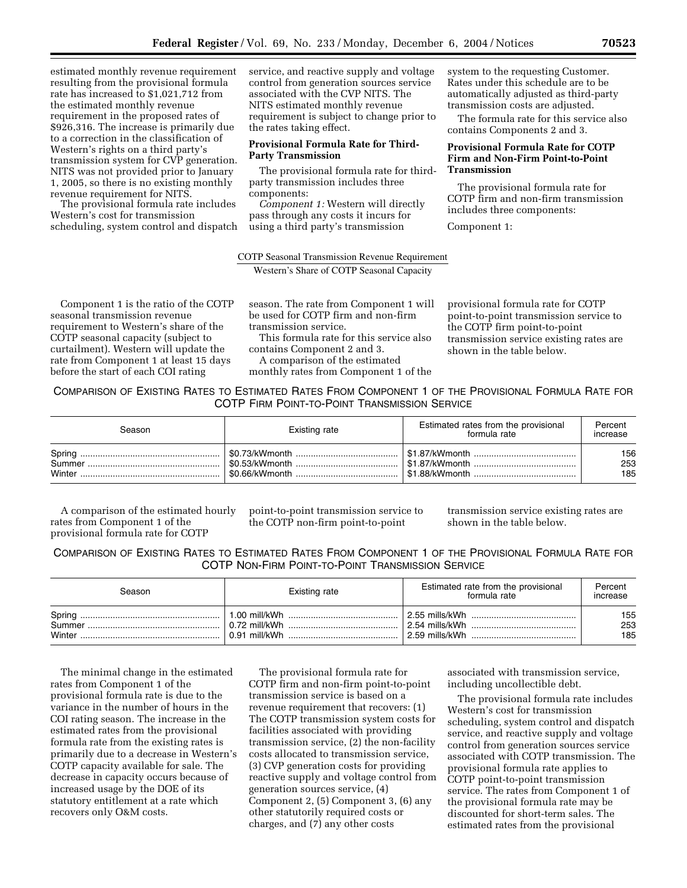estimated monthly revenue requirement resulting from the provisional formula rate has increased to \$1,021,712 from the estimated monthly revenue requirement in the proposed rates of \$926,316. The increase is primarily due to a correction in the classification of Western's rights on a third party's transmission system for CVP generation. NITS was not provided prior to January 1, 2005, so there is no existing monthly revenue requirement for NITS.

The provisional formula rate includes Western's cost for transmission scheduling, system control and dispatch service, and reactive supply and voltage control from generation sources service associated with the CVP NITS. The NITS estimated monthly revenue requirement is subject to change prior to the rates taking effect.

# **Provisional Formula Rate for Third-Party Transmission**

The provisional formula rate for thirdparty transmission includes three components:

*Component 1:* Western will directly pass through any costs it incurs for using a third party's transmission

system to the requesting Customer. Rates under this schedule are to be automatically adjusted as third-party transmission costs are adjusted.

The formula rate for this service also contains Components 2 and 3.

# **Provisional Formula Rate for COTP Firm and Non-Firm Point-to-Point Transmission**

The provisional formula rate for COTP firm and non-firm transmission includes three components:

Component 1:

#### COTP Seaso nal Transmission Revenue Requirement

Western's Share of COTP Seasonal Capacity

Component 1 is the ratio of the COTP seasonal transmission revenue requirement to Western's share of the COTP seasonal capacity (subject to curtailment). Western will update the rate from Component 1 at least 15 days before the start of each COI rating

season. The rate from Component 1 will be used for COTP firm and non-firm transmission service.

This formula rate for this service also contains Component 2 and 3.

A comparison of the estimated

monthly rates from Component 1 of the

provisional formula rate for COTP point-to-point transmission service to the COTP firm point-to-point transmission service existing rates are shown in the table below.

# COMPARISON OF EXISTING RATES TO ESTIMATED RATES FROM COMPONENT 1 OF THE PROVISIONAL FORMULA RATE FOR COTP FIRM POINT-TO-POINT TRANSMISSION SERVICE

| Season           | Existing rate | Estimated rates from the provisional<br>formula rate | Percent<br>increase |
|------------------|---------------|------------------------------------------------------|---------------------|
| Summer<br>Winter |               | \$1.87/kWmonth                                       | 156<br>253<br>185   |

A comparison of the estimated hourly rates from Component 1 of the provisional formula rate for COTP

point-to-point transmission service to the COTP non-firm point-to-point

transmission service existing rates are shown in the table below.

# COMPARISON OF EXISTING RATES TO ESTIMATED RATES FROM COMPONENT 1 OF THE PROVISIONAL FORMULA RATE FOR COTP NON-FIRM POINT-TO-POINT TRANSMISSION SERVICE

| Season | Existing rate | Estimated rate from the provisional<br>formula rate | Percent<br>increase |
|--------|---------------|-----------------------------------------------------|---------------------|
| Summer |               |                                                     | 155<br>253<br>185   |

The minimal change in the estimated rates from Component 1 of the provisional formula rate is due to the variance in the number of hours in the COI rating season. The increase in the estimated rates from the provisional formula rate from the existing rates is primarily due to a decrease in Western's COTP capacity available for sale. The decrease in capacity occurs because of increased usage by the DOE of its statutory entitlement at a rate which recovers only O&M costs.

The provisional formula rate for COTP firm and non-firm point-to-point transmission service is based on a revenue requirement that recovers: (1) The COTP transmission system costs for facilities associated with providing transmission service, (2) the non-facility costs allocated to transmission service, (3) CVP generation costs for providing reactive supply and voltage control from generation sources service, (4) Component 2, (5) Component 3, (6) any other statutorily required costs or charges, and (7) any other costs

associated with transmission service, including uncollectible debt.

The provisional formula rate includes Western's cost for transmission scheduling, system control and dispatch service, and reactive supply and voltage control from generation sources service associated with COTP transmission. The provisional formula rate applies to COTP point-to-point transmission service. The rates from Component 1 of the provisional formula rate may be discounted for short-term sales. The estimated rates from the provisional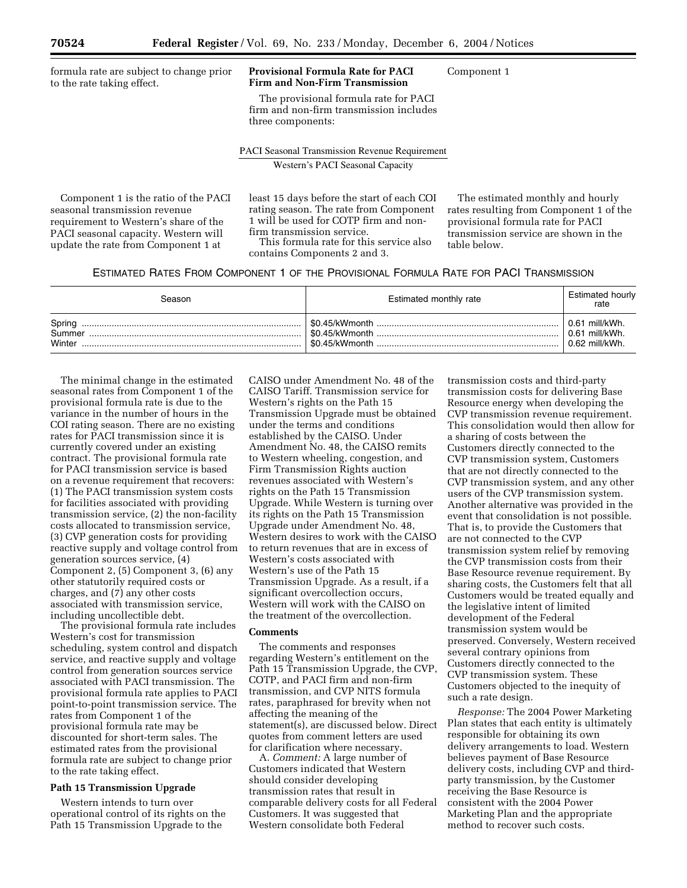formula rate are subject to change prior to the rate taking effect.

# **Provisional Formula Rate for PACI Firm and Non-Firm Transmission**

The provisional formula rate for PACI firm and non-firm transmission includes three components:

PACI Seaso nal Transmission Revenue Requirement

Western's PACI Seasonal Capacity

Component 1 is the ratio of the PACI seasonal transmission revenue requirement to Western's share of the PACI seasonal capacity. Western will update the rate from Component 1 at

least 15 days before the start of each COI rating season. The rate from Component 1 will be used for COTP firm and nonfirm transmission service. This formula rate for this service also

contains Components 2 and 3.

The estimated monthly and hourly rates resulting from Component 1 of the provisional formula rate for PACI transmission service are shown in the table below.

Component 1

| Season                     | Estimated monthly rate | <b>Estimated hourly</b><br>rate                      |
|----------------------------|------------------------|------------------------------------------------------|
| Spring<br>Summer<br>Winter |                        | 0.61 mill/kWh.<br>0.61 mill/kWh.<br>$0.62$ mill/kWh. |

The minimal change in the estimated seasonal rates from Component 1 of the provisional formula rate is due to the variance in the number of hours in the COI rating season. There are no existing rates for PACI transmission since it is currently covered under an existing contract. The provisional formula rate for PACI transmission service is based on a revenue requirement that recovers: (1) The PACI transmission system costs for facilities associated with providing transmission service, (2) the non-facility costs allocated to transmission service, (3) CVP generation costs for providing reactive supply and voltage control from generation sources service, (4) Component 2, (5) Component 3, (6) any other statutorily required costs or charges, and (7) any other costs associated with transmission service, including uncollectible debt.

The provisional formula rate includes Western's cost for transmission scheduling, system control and dispatch service, and reactive supply and voltage control from generation sources service associated with PACI transmission. The provisional formula rate applies to PACI point-to-point transmission service. The rates from Component 1 of the provisional formula rate may be discounted for short-term sales. The estimated rates from the provisional formula rate are subject to change prior to the rate taking effect.

# **Path 15 Transmission Upgrade**

Western intends to turn over operational control of its rights on the Path 15 Transmission Upgrade to the

CAISO under Amendment No. 48 of the CAISO Tariff. Transmission service for Western's rights on the Path 15 Transmission Upgrade must be obtained under the terms and conditions established by the CAISO. Under Amendment No. 48, the CAISO remits to Western wheeling, congestion, and Firm Transmission Rights auction revenues associated with Western's rights on the Path 15 Transmission Upgrade. While Western is turning over its rights on the Path 15 Transmission Upgrade under Amendment No. 48, Western desires to work with the CAISO to return revenues that are in excess of Western's costs associated with Western's use of the Path 15 Transmission Upgrade. As a result, if a significant overcollection occurs, Western will work with the CAISO on the treatment of the overcollection.

# **Comments**

The comments and responses regarding Western's entitlement on the Path 15 Transmission Upgrade, the CVP, COTP, and PACI firm and non-firm transmission, and CVP NITS formula rates, paraphrased for brevity when not affecting the meaning of the statement(s), are discussed below. Direct quotes from comment letters are used for clarification where necessary.

A. *Comment:* A large number of Customers indicated that Western should consider developing transmission rates that result in comparable delivery costs for all Federal Customers. It was suggested that Western consolidate both Federal

transmission costs and third-party transmission costs for delivering Base Resource energy when developing the CVP transmission revenue requirement. This consolidation would then allow for a sharing of costs between the Customers directly connected to the CVP transmission system, Customers that are not directly connected to the CVP transmission system, and any other users of the CVP transmission system. Another alternative was provided in the event that consolidation is not possible. That is, to provide the Customers that are not connected to the CVP transmission system relief by removing the CVP transmission costs from their Base Resource revenue requirement. By sharing costs, the Customers felt that all Customers would be treated equally and the legislative intent of limited development of the Federal transmission system would be preserved. Conversely, Western received several contrary opinions from Customers directly connected to the CVP transmission system. These Customers objected to the inequity of such a rate design.

*Response:* The 2004 Power Marketing Plan states that each entity is ultimately responsible for obtaining its own delivery arrangements to load. Western believes payment of Base Resource delivery costs, including CVP and thirdparty transmission, by the Customer receiving the Base Resource is consistent with the 2004 Power Marketing Plan and the appropriate method to recover such costs.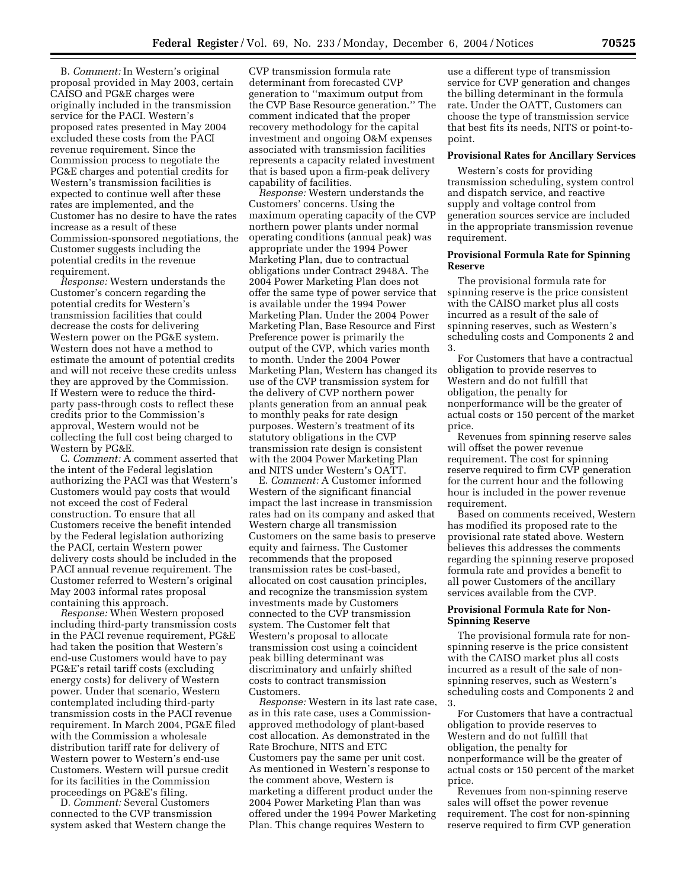B. *Comment:* In Western's original proposal provided in May 2003, certain CAISO and PG&E charges were originally included in the transmission service for the PACI. Western's proposed rates presented in May 2004 excluded these costs from the PACI revenue requirement. Since the Commission process to negotiate the PG&E charges and potential credits for Western's transmission facilities is expected to continue well after these rates are implemented, and the Customer has no desire to have the rates increase as a result of these Commission-sponsored negotiations, the Customer suggests including the potential credits in the revenue requirement.

*Response:* Western understands the Customer's concern regarding the potential credits for Western's transmission facilities that could decrease the costs for delivering Western power on the PG&E system. Western does not have a method to estimate the amount of potential credits and will not receive these credits unless they are approved by the Commission. If Western were to reduce the thirdparty pass-through costs to reflect these credits prior to the Commission's approval, Western would not be collecting the full cost being charged to Western by PG&E.

C. *Comment:* A comment asserted that the intent of the Federal legislation authorizing the PACI was that Western's Customers would pay costs that would not exceed the cost of Federal construction. To ensure that all Customers receive the benefit intended by the Federal legislation authorizing the PACI, certain Western power delivery costs should be included in the PACI annual revenue requirement. The Customer referred to Western's original May 2003 informal rates proposal containing this approach.

*Response:* When Western proposed including third-party transmission costs in the PACI revenue requirement, PG&E had taken the position that Western's end-use Customers would have to pay PG&E's retail tariff costs (excluding energy costs) for delivery of Western power. Under that scenario, Western contemplated including third-party transmission costs in the PACI revenue requirement. In March 2004, PG&E filed with the Commission a wholesale distribution tariff rate for delivery of Western power to Western's end-use Customers. Western will pursue credit for its facilities in the Commission proceedings on PG&E's filing.

D. *Comment:* Several Customers connected to the CVP transmission system asked that Western change the

CVP transmission formula rate determinant from forecasted CVP generation to ''maximum output from the CVP Base Resource generation.'' The comment indicated that the proper recovery methodology for the capital investment and ongoing O&M expenses associated with transmission facilities represents a capacity related investment that is based upon a firm-peak delivery capability of facilities.

*Response:* Western understands the Customers' concerns. Using the maximum operating capacity of the CVP northern power plants under normal operating conditions (annual peak) was appropriate under the 1994 Power Marketing Plan, due to contractual obligations under Contract 2948A. The 2004 Power Marketing Plan does not offer the same type of power service that is available under the 1994 Power Marketing Plan. Under the 2004 Power Marketing Plan, Base Resource and First Preference power is primarily the output of the CVP, which varies month to month. Under the 2004 Power Marketing Plan, Western has changed its use of the CVP transmission system for the delivery of CVP northern power plants generation from an annual peak to monthly peaks for rate design purposes. Western's treatment of its statutory obligations in the CVP transmission rate design is consistent with the 2004 Power Marketing Plan and NITS under Western's OATT.

E. *Comment:* A Customer informed Western of the significant financial impact the last increase in transmission rates had on its company and asked that Western charge all transmission Customers on the same basis to preserve equity and fairness. The Customer recommends that the proposed transmission rates be cost-based, allocated on cost causation principles, and recognize the transmission system investments made by Customers connected to the CVP transmission system. The Customer felt that Western's proposal to allocate transmission cost using a coincident peak billing determinant was discriminatory and unfairly shifted costs to contract transmission Customers.

*Response:* Western in its last rate case, as in this rate case, uses a Commissionapproved methodology of plant-based cost allocation. As demonstrated in the Rate Brochure, NITS and ETC Customers pay the same per unit cost. As mentioned in Western's response to the comment above, Western is marketing a different product under the 2004 Power Marketing Plan than was offered under the 1994 Power Marketing Plan. This change requires Western to

use a different type of transmission service for CVP generation and changes the billing determinant in the formula rate. Under the OATT, Customers can choose the type of transmission service that best fits its needs, NITS or point-topoint.

#### **Provisional Rates for Ancillary Services**

Western's costs for providing transmission scheduling, system control and dispatch service, and reactive supply and voltage control from generation sources service are included in the appropriate transmission revenue requirement.

# **Provisional Formula Rate for Spinning Reserve**

The provisional formula rate for spinning reserve is the price consistent with the CAISO market plus all costs incurred as a result of the sale of spinning reserves, such as Western's scheduling costs and Components 2 and 3.

For Customers that have a contractual obligation to provide reserves to Western and do not fulfill that obligation, the penalty for nonperformance will be the greater of actual costs or 150 percent of the market price.

Revenues from spinning reserve sales will offset the power revenue requirement. The cost for spinning reserve required to firm CVP generation for the current hour and the following hour is included in the power revenue requirement.

Based on comments received, Western has modified its proposed rate to the provisional rate stated above. Western believes this addresses the comments regarding the spinning reserve proposed formula rate and provides a benefit to all power Customers of the ancillary services available from the CVP.

# **Provisional Formula Rate for Non-Spinning Reserve**

The provisional formula rate for nonspinning reserve is the price consistent with the CAISO market plus all costs incurred as a result of the sale of nonspinning reserves, such as Western's scheduling costs and Components 2 and 3.

For Customers that have a contractual obligation to provide reserves to Western and do not fulfill that obligation, the penalty for nonperformance will be the greater of actual costs or 150 percent of the market price.

Revenues from non-spinning reserve sales will offset the power revenue requirement. The cost for non-spinning reserve required to firm CVP generation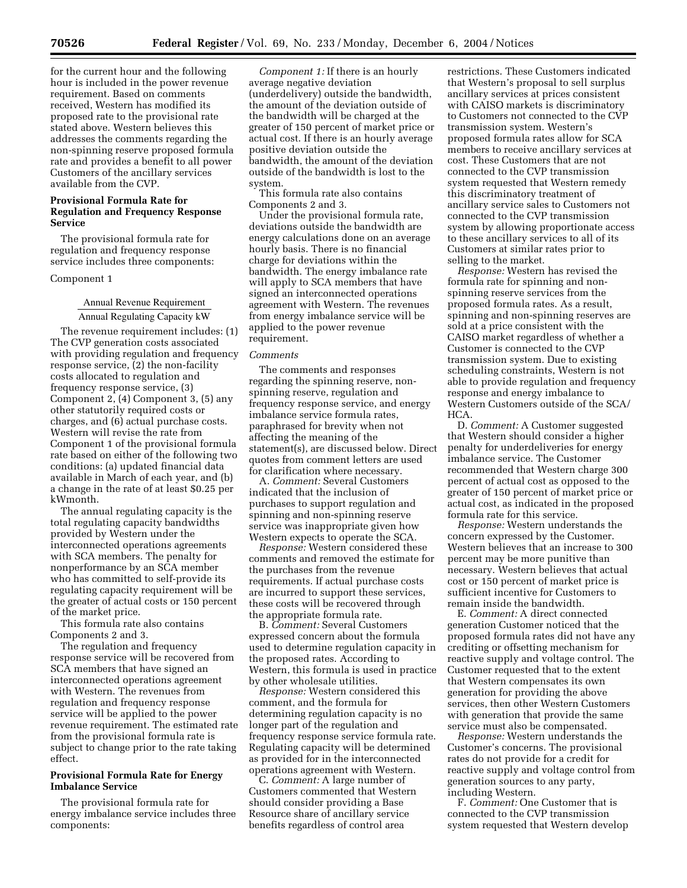for the current hour and the following hour is included in the power revenue requirement. Based on comments received, Western has modified its proposed rate to the provisional rate stated above. Western believes this addresses the comments regarding the non-spinning reserve proposed formula rate and provides a benefit to all power Customers of the ancillary services available from the CVP.

#### **Provisional Formula Rate for Regulation and Frequency Response Service**

The provisional formula rate for regulation and frequency response service includes three components:

#### Component 1

# Annual Revenue Requirement

Annual Regulating Capacity kW The revenue requirement includes: (1) The CVP generation costs associated with providing regulation and frequency response service, (2) the non-facility costs allocated to regulation and frequency response service, (3) Component 2, (4) Component 3, (5) any other statutorily required costs or charges, and (6) actual purchase costs. Western will revise the rate from Component 1 of the provisional formula rate based on either of the following two conditions: (a) updated financial data available in March of each year, and (b) a change in the rate of at least \$0.25 per kWmonth.

The annual regulating capacity is the total regulating capacity bandwidths provided by Western under the interconnected operations agreements with SCA members. The penalty for nonperformance by an SCA member who has committed to self-provide its regulating capacity requirement will be the greater of actual costs or 150 percent of the market price.

This formula rate also contains Components 2 and 3.

The regulation and frequency response service will be recovered from SCA members that have signed an interconnected operations agreement with Western. The revenues from regulation and frequency response service will be applied to the power revenue requirement. The estimated rate from the provisional formula rate is subject to change prior to the rate taking effect.

# **Provisional Formula Rate for Energy Imbalance Service**

The provisional formula rate for energy imbalance service includes three components:

*Component 1:* If there is an hourly average negative deviation (underdelivery) outside the bandwidth, the amount of the deviation outside of the bandwidth will be charged at the greater of 150 percent of market price or actual cost. If there is an hourly average positive deviation outside the bandwidth, the amount of the deviation outside of the bandwidth is lost to the system.

This formula rate also contains Components 2 and 3.

Under the provisional formula rate, deviations outside the bandwidth are energy calculations done on an average hourly basis. There is no financial charge for deviations within the bandwidth. The energy imbalance rate will apply to SCA members that have signed an interconnected operations agreement with Western. The revenues from energy imbalance service will be applied to the power revenue requirement.

#### *Comments*

The comments and responses regarding the spinning reserve, nonspinning reserve, regulation and frequency response service, and energy imbalance service formula rates, paraphrased for brevity when not affecting the meaning of the statement(s), are discussed below. Direct quotes from comment letters are used for clarification where necessary.

A. *Comment:* Several Customers indicated that the inclusion of purchases to support regulation and spinning and non-spinning reserve service was inappropriate given how Western expects to operate the SCA.

*Response:* Western considered these comments and removed the estimate for the purchases from the revenue requirements. If actual purchase costs are incurred to support these services, these costs will be recovered through the appropriate formula rate.

B. *Comment:* Several Customers expressed concern about the formula used to determine regulation capacity in the proposed rates. According to Western, this formula is used in practice by other wholesale utilities.

*Response:* Western considered this comment, and the formula for determining regulation capacity is no longer part of the regulation and frequency response service formula rate. Regulating capacity will be determined as provided for in the interconnected operations agreement with Western.

C. *Comment:* A large number of Customers commented that Western should consider providing a Base Resource share of ancillary service benefits regardless of control area

restrictions. These Customers indicated that Western's proposal to sell surplus ancillary services at prices consistent with CAISO markets is discriminatory to Customers not connected to the CVP transmission system. Western's proposed formula rates allow for SCA members to receive ancillary services at cost. These Customers that are not connected to the CVP transmission system requested that Western remedy this discriminatory treatment of ancillary service sales to Customers not connected to the CVP transmission system by allowing proportionate access to these ancillary services to all of its Customers at similar rates prior to selling to the market.

*Response:* Western has revised the formula rate for spinning and nonspinning reserve services from the proposed formula rates. As a result, spinning and non-spinning reserves are sold at a price consistent with the CAISO market regardless of whether a Customer is connected to the CVP transmission system. Due to existing scheduling constraints, Western is not able to provide regulation and frequency response and energy imbalance to Western Customers outside of the SCA/ HCA.

D. *Comment:* A Customer suggested that Western should consider a higher penalty for underdeliveries for energy imbalance service. The Customer recommended that Western charge 300 percent of actual cost as opposed to the greater of 150 percent of market price or actual cost, as indicated in the proposed formula rate for this service.

*Response:* Western understands the concern expressed by the Customer. Western believes that an increase to 300 percent may be more punitive than necessary. Western believes that actual cost or 150 percent of market price is sufficient incentive for Customers to remain inside the bandwidth.

E. *Comment:* A direct connected generation Customer noticed that the proposed formula rates did not have any crediting or offsetting mechanism for reactive supply and voltage control. The Customer requested that to the extent that Western compensates its own generation for providing the above services, then other Western Customers with generation that provide the same service must also be compensated.

*Response:* Western understands the Customer's concerns. The provisional rates do not provide for a credit for reactive supply and voltage control from generation sources to any party, including Western.

F. *Comment:* One Customer that is connected to the CVP transmission system requested that Western develop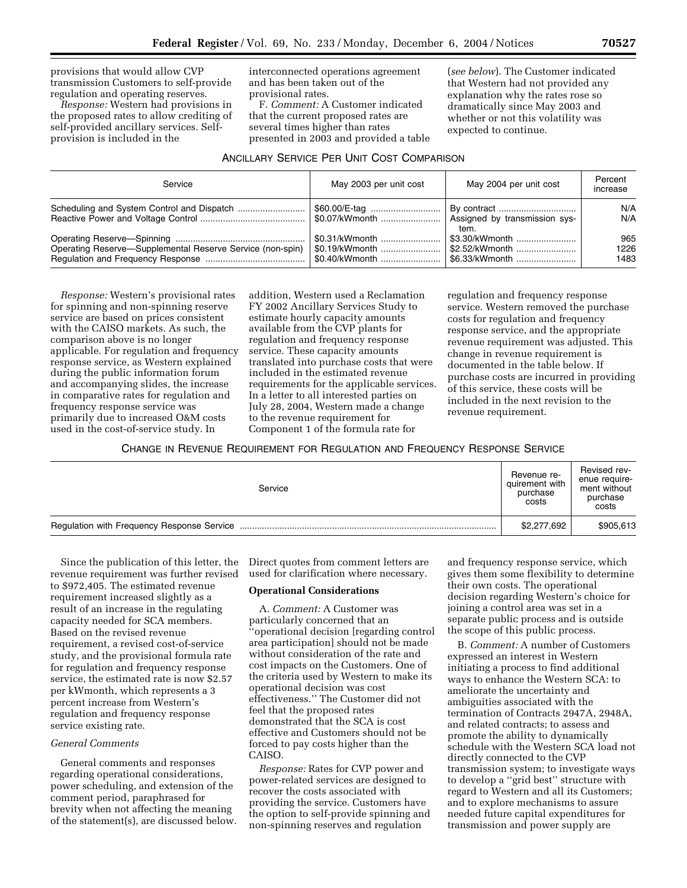provisions that would allow CVP transmission Customers to self-provide regulation and operating reserves.

*Response:* Western had provisions in the proposed rates to allow crediting of self-provided ancillary services. Selfprovision is included in the

interconnected operations agreement and has been taken out of the provisional rates.

F. *Comment:* A Customer indicated that the current proposed rates are several times higher than rates presented in 2003 and provided a table

ANCILLARY SERVICE PER UNIT COST COMPARISON

(*see below*). The Customer indicated that Western had not provided any explanation why the rates rose so dramatically since May 2003 and whether or not this volatility was expected to continue.

| Service                                                   | May 2003 per unit cost         | May 2004 per unit cost                               | Percent<br>increase |
|-----------------------------------------------------------|--------------------------------|------------------------------------------------------|---------------------|
|                                                           | \$60.00/E-tag<br>50.07/kWmonth | By contract<br>Assigned by transmission sys-<br>tem. | N/A<br>N/A          |
|                                                           | \$0.31/kWmonth                 | \$3.30/kWmonth                                       | 965                 |
| Operating Reserve-Supplemental Reserve Service (non-spin) |                                | \$2.52/kWmonth                                       | 1226                |
|                                                           | \$0.40/kWmonth                 | \$6.33/kWmonth                                       | 1483                |

*Response:* Western's provisional rates for spinning and non-spinning reserve service are based on prices consistent with the CAISO markets. As such, the comparison above is no longer applicable. For regulation and frequency response service, as Western explained during the public information forum and accompanying slides, the increase in comparative rates for regulation and frequency response service was primarily due to increased O&M costs used in the cost-of-service study. In

addition, Western used a Reclamation FY 2002 Ancillary Services Study to estimate hourly capacity amounts available from the CVP plants for regulation and frequency response service. These capacity amounts translated into purchase costs that were included in the estimated revenue requirements for the applicable services. In a letter to all interested parties on July 28, 2004, Western made a change to the revenue requirement for Component 1 of the formula rate for

regulation and frequency response service. Western removed the purchase costs for regulation and frequency response service, and the appropriate revenue requirement was adjusted. This change in revenue requirement is documented in the table below. If purchase costs are incurred in providing of this service, these costs will be included in the next revision to the revenue requirement.

CHANGE IN REVENUE REQUIREMENT FOR REGULATION AND FREQUENCY RESPONSE SERVICE

| Service | Revenue re-<br>quirement with<br>purchase<br>costs | Revised rev-<br>enue reguire-<br>ment without<br>purchase<br>costs |
|---------|----------------------------------------------------|--------------------------------------------------------------------|
|         | \$2,277,692                                        | \$905,613                                                          |

Since the publication of this letter, the revenue requirement was further revised to \$972,405. The estimated revenue requirement increased slightly as a result of an increase in the regulating capacity needed for SCA members. Based on the revised revenue requirement, a revised cost-of-service study, and the provisional formula rate for regulation and frequency response service, the estimated rate is now \$2.57 per kWmonth, which represents a 3 percent increase from Western's regulation and frequency response service existing rate.

# *General Comments*

General comments and responses regarding operational considerations, power scheduling, and extension of the comment period, paraphrased for brevity when not affecting the meaning of the statement(s), are discussed below. Direct quotes from comment letters are used for clarification where necessary.

#### **Operational Considerations**

A. *Comment:* A Customer was particularly concerned that an 'operational decision [regarding control] area participation] should not be made without consideration of the rate and cost impacts on the Customers. One of the criteria used by Western to make its operational decision was cost effectiveness.'' The Customer did not feel that the proposed rates demonstrated that the SCA is cost effective and Customers should not be forced to pay costs higher than the CAISO.

*Response:* Rates for CVP power and power-related services are designed to recover the costs associated with providing the service. Customers have the option to self-provide spinning and non-spinning reserves and regulation

and frequency response service, which gives them some flexibility to determine their own costs. The operational decision regarding Western's choice for joining a control area was set in a separate public process and is outside the scope of this public process.

B. *Comment:* A number of Customers expressed an interest in Western initiating a process to find additional ways to enhance the Western SCA: to ameliorate the uncertainty and ambiguities associated with the termination of Contracts 2947A, 2948A, and related contracts; to assess and promote the ability to dynamically schedule with the Western SCA load not directly connected to the CVP transmission system; to investigate ways to develop a ''grid best'' structure with regard to Western and all its Customers; and to explore mechanisms to assure needed future capital expenditures for transmission and power supply are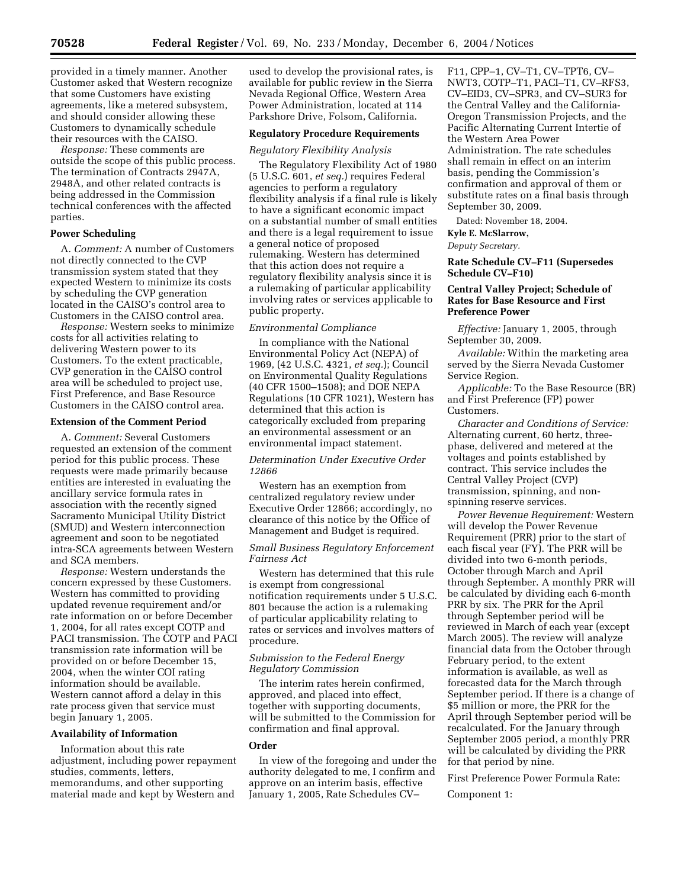provided in a timely manner. Another Customer asked that Western recognize that some Customers have existing agreements, like a metered subsystem, and should consider allowing these Customers to dynamically schedule their resources with the CAISO.

*Response:* These comments are outside the scope of this public process. The termination of Contracts 2947A, 2948A, and other related contracts is being addressed in the Commission technical conferences with the affected parties.

# **Power Scheduling**

A. *Comment:* A number of Customers not directly connected to the CVP transmission system stated that they expected Western to minimize its costs by scheduling the CVP generation located in the CAISO's control area to Customers in the CAISO control area.

*Response:* Western seeks to minimize costs for all activities relating to delivering Western power to its Customers. To the extent practicable, CVP generation in the CAISO control area will be scheduled to project use, First Preference, and Base Resource Customers in the CAISO control area.

#### **Extension of the Comment Period**

A. *Comment:* Several Customers requested an extension of the comment period for this public process. These requests were made primarily because entities are interested in evaluating the ancillary service formula rates in association with the recently signed Sacramento Municipal Utility District (SMUD) and Western interconnection agreement and soon to be negotiated intra-SCA agreements between Western and SCA members.

*Response:* Western understands the concern expressed by these Customers. Western has committed to providing updated revenue requirement and/or rate information on or before December 1, 2004, for all rates except COTP and PACI transmission. The COTP and PACI transmission rate information will be provided on or before December 15, 2004, when the winter COI rating information should be available. Western cannot afford a delay in this rate process given that service must begin January 1, 2005.

#### **Availability of Information**

Information about this rate adjustment, including power repayment studies, comments, letters, memorandums, and other supporting material made and kept by Western and

used to develop the provisional rates, is available for public review in the Sierra Nevada Regional Office, Western Area Power Administration, located at 114 Parkshore Drive, Folsom, California.

# **Regulatory Procedure Requirements**

#### *Regulatory Flexibility Analysis*

The Regulatory Flexibility Act of 1980 (5 U.S.C. 601, *et seq.*) requires Federal agencies to perform a regulatory flexibility analysis if a final rule is likely to have a significant economic impact on a substantial number of small entities and there is a legal requirement to issue a general notice of proposed rulemaking. Western has determined that this action does not require a regulatory flexibility analysis since it is a rulemaking of particular applicability involving rates or services applicable to public property.

#### *Environmental Compliance*

In compliance with the National Environmental Policy Act (NEPA) of 1969, (42 U.S.C. 4321, *et seq.*); Council on Environmental Quality Regulations (40 CFR 1500–1508); and DOE NEPA Regulations (10 CFR 1021), Western has determined that this action is categorically excluded from preparing an environmental assessment or an environmental impact statement.

# *Determination Under Executive Order 12866*

Western has an exemption from centralized regulatory review under Executive Order 12866; accordingly, no clearance of this notice by the Office of Management and Budget is required.

# *Small Business Regulatory Enforcement Fairness Act*

Western has determined that this rule is exempt from congressional notification requirements under 5 U.S.C. 801 because the action is a rulemaking of particular applicability relating to rates or services and involves matters of procedure.

# *Submission to the Federal Energy Regulatory Commission*

The interim rates herein confirmed, approved, and placed into effect, together with supporting documents, will be submitted to the Commission for confirmation and final approval.

#### **Order**

In view of the foregoing and under the authority delegated to me, I confirm and approve on an interim basis, effective January 1, 2005, Rate Schedules CV–

F11, CPP–1, CV–T1, CV–TPT6, CV– NWT3, COTP–T1, PACI–T1, CV–RFS3, CV–EID3, CV–SPR3, and CV–SUR3 for the Central Valley and the California-Oregon Transmission Projects, and the Pacific Alternating Current Intertie of the Western Area Power Administration. The rate schedules shall remain in effect on an interim basis, pending the Commission's confirmation and approval of them or substitute rates on a final basis through September 30, 2009.

Dated: November 18, 2004.

**Kyle E. McSlarrow,** 

#### *Deputy Secretary.*

**Rate Schedule CV–F11 (Supersedes Schedule CV–F10)** 

# **Central Valley Project; Schedule of Rates for Base Resource and First Preference Power**

*Effective:* January 1, 2005, through September 30, 2009.

*Available:* Within the marketing area served by the Sierra Nevada Customer Service Region.

*Applicable:* To the Base Resource (BR) and First Preference (FP) power Customers.

*Character and Conditions of Service:* Alternating current, 60 hertz, threephase, delivered and metered at the voltages and points established by contract. This service includes the Central Valley Project (CVP) transmission, spinning, and nonspinning reserve services.

*Power Revenue Requirement:* Western will develop the Power Revenue Requirement (PRR) prior to the start of each fiscal year (FY). The PRR will be divided into two 6-month periods, October through March and April through September. A monthly PRR will be calculated by dividing each 6-month PRR by six. The PRR for the April through September period will be reviewed in March of each year (except March 2005). The review will analyze financial data from the October through February period, to the extent information is available, as well as forecasted data for the March through September period. If there is a change of \$5 million or more, the PRR for the April through September period will be recalculated. For the January through September 2005 period, a monthly PRR will be calculated by dividing the PRR for that period by nine.

First Preference Power Formula Rate: Component 1: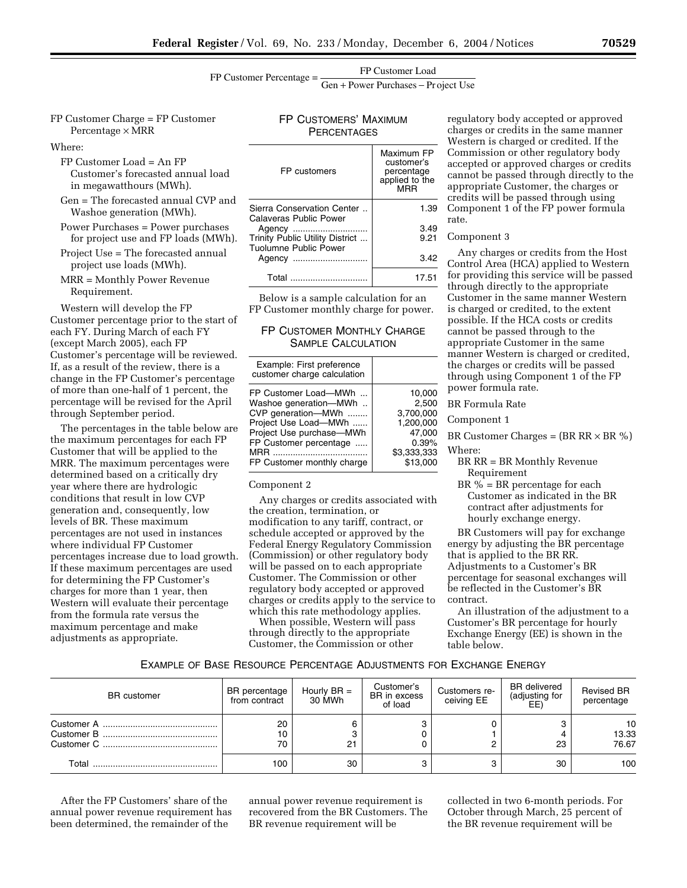FP CUSTOMERS' MAXIMUM **PERCENTAGES** 

FP Customer Percentage = FP Customer Load

Gen + Power Purchases - Project Use

FP Customer Charge = FP Customer Percentage  $\times$  MRR

Where:

FP Customer Load = An FP Customer's forecasted annual load in megawatthours (MWh).

Gen = The forecasted annual CVP and Washoe generation (MWh).

- Power Purchases = Power purchases for project use and FP loads (MWh).
- Project Use = The forecasted annual project use loads (MWh).
- MRR = Monthly Power Revenue Requirement.

Western will develop the FP Customer percentage prior to the start of each FY. During March of each FY (except March 2005), each FP Customer's percentage will be reviewed. If, as a result of the review, there is a change in the FP Customer's percentage of more than one-half of 1 percent, the percentage will be revised for the April through September period.

The percentages in the table below are the maximum percentages for each FP Customer that will be applied to the MRR. The maximum percentages were determined based on a critically dry year where there are hydrologic conditions that result in low CVP generation and, consequently, low levels of BR. These maximum percentages are not used in instances where individual FP Customer percentages increase due to load growth. If these maximum percentages are used for determining the FP Customer's charges for more than 1 year, then Western will evaluate their percentage from the formula rate versus the maximum percentage and make adjustments as appropriate.

| FP customers                                                    | Maximum FP<br>customer's<br>percentage<br>applied to the<br><b>MRR</b> |
|-----------------------------------------------------------------|------------------------------------------------------------------------|
| Sierra Conservation Center<br>Calaveras Public Power            | 1.39                                                                   |
| Agency                                                          | 3.49                                                                   |
| Trinity Public Utility District<br><b>Tuolumne Public Power</b> | 9.21                                                                   |
| Agency                                                          | 3.42                                                                   |
| Total                                                           | 17.51                                                                  |

Below is a sample calculation for an FP Customer monthly charge for power.

# FP CUSTOMER MONTHLY CHARGE SAMPLE CALCULATION

| Example: First preference<br>customer charge calculation                                                                                                                                   |                                                                                         |
|--------------------------------------------------------------------------------------------------------------------------------------------------------------------------------------------|-----------------------------------------------------------------------------------------|
| FP Customer Load-MWh<br>Washoe generation-MWh<br>CVP generation-MWh<br>Project Use Load-MWh<br>Project Use purchase-MWh<br>FP Customer percentage<br>MRR<br><br>FP Customer monthly charge | 10,000<br>2,500<br>3.700.000<br>1.200.000<br>47.000<br>0.39%<br>\$3,333,333<br>\$13.000 |
|                                                                                                                                                                                            |                                                                                         |

Component 2

Any charges or credits associated with the creation, termination, or modification to any tariff, contract, or schedule accepted or approved by the Federal Energy Regulatory Commission (Commission) or other regulatory body will be passed on to each appropriate Customer. The Commission or other regulatory body accepted or approved charges or credits apply to the service to which this rate methodology applies.

When possible, Western will pass through directly to the appropriate Customer, the Commission or other

regulatory body accepted or approved charges or credits in the same manner Western is charged or credited. If the Commission or other regulatory body accepted or approved charges or credits cannot be passed through directly to the appropriate Customer, the charges or credits will be passed through using Component 1 of the FP power formula rate.

#### Component 3

Any charges or credits from the Host Control Area (HCA) applied to Western for providing this service will be passed through directly to the appropriate Customer in the same manner Western is charged or credited, to the extent possible. If the HCA costs or credits cannot be passed through to the appropriate Customer in the same manner Western is charged or credited, the charges or credits will be passed through using Component 1 of the FP power formula rate.

BR Formula Rate

Component 1

BR Customer Charges =  $(BR RR \times BR \%)$ Where:

- BR RR = BR Monthly Revenue Requirement
- BR  $% = BR$  percentage for each Customer as indicated in the BR contract after adjustments for hourly exchange energy.

BR Customers will pay for exchange energy by adjusting the BR percentage that is applied to the BR RR. Adjustments to a Customer's BR percentage for seasonal exchanges will be reflected in the Customer's BR contract.

An illustration of the adjustment to a Customer's BR percentage for hourly Exchange Energy (EE) is shown in the table below.

# EXAMPLE OF BASE RESOURCE PERCENTAGE ADJUSTMENTS FOR EXCHANGE ENERGY

| <b>BR</b> customer | BR percentage<br>from contract | Hourly $BR =$<br>30 MWh | Customer's<br>BR in excess<br>of load | Customers re-<br>ceiving EE | <b>BR</b> delivered<br>(adjusting for<br>EE) | <b>Revised BR</b><br>percentage |
|--------------------|--------------------------------|-------------------------|---------------------------------------|-----------------------------|----------------------------------------------|---------------------------------|
|                    | 20<br>10<br>70                 | 21                      |                                       |                             | 23                                           | 10<br>13.33<br>76.67            |
| Total              | 100                            | 30                      |                                       | 3                           | 30                                           | 100                             |

After the FP Customers' share of the annual power revenue requirement has been determined, the remainder of the

annual power revenue requirement is recovered from the BR Customers. The BR revenue requirement will be

collected in two 6-month periods. For October through March, 25 percent of the BR revenue requirement will be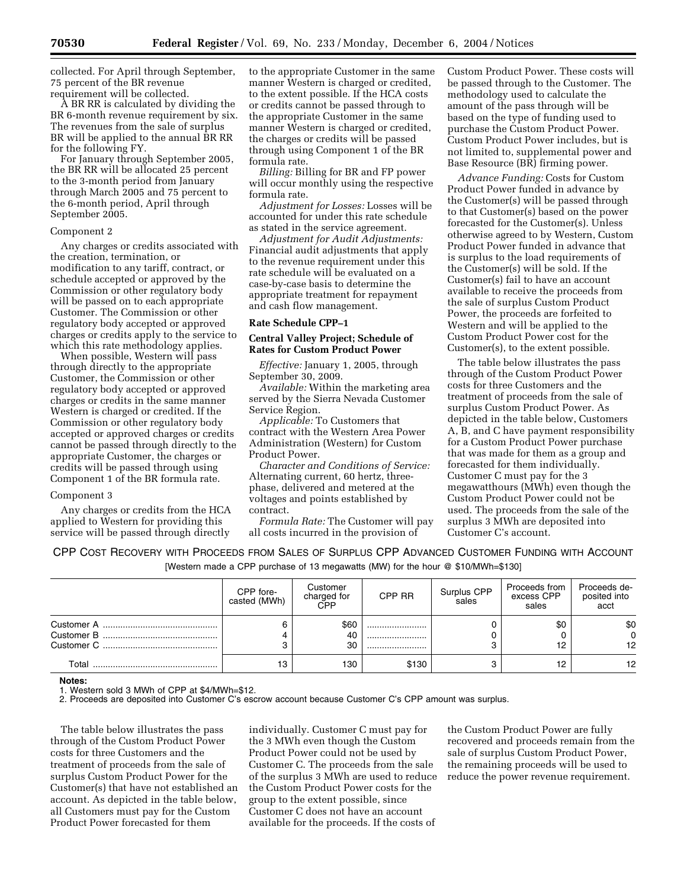collected. For April through September, 75 percent of the BR revenue requirement will be collected.

A BR RR is calculated by dividing the BR 6-month revenue requirement by six. The revenues from the sale of surplus BR will be applied to the annual BR RR for the following FY.

For January through September 2005, the BR RR will be allocated 25 percent to the 3-month period from January through March 2005 and 75 percent to the 6-month period, April through September 2005.

# Component 2

Any charges or credits associated with the creation, termination, or modification to any tariff, contract, or schedule accepted or approved by the Commission or other regulatory body will be passed on to each appropriate Customer. The Commission or other regulatory body accepted or approved charges or credits apply to the service to which this rate methodology applies.

When possible, Western will pass through directly to the appropriate Customer, the Commission or other regulatory body accepted or approved charges or credits in the same manner Western is charged or credited. If the Commission or other regulatory body accepted or approved charges or credits cannot be passed through directly to the appropriate Customer, the charges or credits will be passed through using Component 1 of the BR formula rate.

# Component 3

Any charges or credits from the HCA applied to Western for providing this service will be passed through directly

to the appropriate Customer in the same manner Western is charged or credited, to the extent possible. If the HCA costs or credits cannot be passed through to the appropriate Customer in the same manner Western is charged or credited, the charges or credits will be passed through using Component 1 of the BR formula rate.

*Billing:* Billing for BR and FP power will occur monthly using the respective formula rate.

*Adjustment for Losses:* Losses will be accounted for under this rate schedule as stated in the service agreement.

*Adjustment for Audit Adjustments:* Financial audit adjustments that apply to the revenue requirement under this rate schedule will be evaluated on a case-by-case basis to determine the appropriate treatment for repayment and cash flow management.

#### **Rate Schedule CPP–1**

# **Central Valley Project; Schedule of Rates for Custom Product Power**

*Effective:* January 1, 2005, through September 30, 2009.

*Available:* Within the marketing area served by the Sierra Nevada Customer Service Region.

*Applicable:* To Customers that contract with the Western Area Power Administration (Western) for Custom Product Power.

*Character and Conditions of Service:* Alternating current, 60 hertz, threephase, delivered and metered at the voltages and points established by contract.

*Formula Rate:* The Customer will pay all costs incurred in the provision of

Custom Product Power. These costs will be passed through to the Customer. The methodology used to calculate the amount of the pass through will be based on the type of funding used to purchase the Custom Product Power. Custom Product Power includes, but is not limited to, supplemental power and Base Resource (BR) firming power.

*Advance Funding:* Costs for Custom Product Power funded in advance by the Customer(s) will be passed through to that Customer(s) based on the power forecasted for the Customer(s). Unless otherwise agreed to by Western, Custom Product Power funded in advance that is surplus to the load requirements of the Customer(s) will be sold. If the Customer(s) fail to have an account available to receive the proceeds from the sale of surplus Custom Product Power, the proceeds are forfeited to Western and will be applied to the Custom Product Power cost for the Customer(s), to the extent possible.

The table below illustrates the pass through of the Custom Product Power costs for three Customers and the treatment of proceeds from the sale of surplus Custom Product Power. As depicted in the table below, Customers A, B, and C have payment responsibility for a Custom Product Power purchase that was made for them as a group and forecasted for them individually. Customer C must pay for the 3 megawatthours (MWh) even though the Custom Product Power could not be used. The proceeds from the sale of the surplus 3 MWh are deposited into Customer C's account.

CPP COST RECOVERY WITH PROCEEDS FROM SALES OF SURPLUS CPP ADVANCED CUSTOMER FUNDING WITH ACCOUNT [Western made a CPP purchase of 13 megawatts (MW) for the hour @ \$10/MWh=\$130]

|             | CPP fore-<br>casted (MWh) | Customer<br>charged for<br>CPP | CPP RR   | Surplus CPP<br>sales | Proceeds from<br>excess CPP<br>sales | Proceeds de-<br>posited into<br>acct |
|-------------|---------------------------|--------------------------------|----------|----------------------|--------------------------------------|--------------------------------------|
| Customer C. |                           | \$60<br>40<br>30               | <br><br> |                      | \$0                                  | \$0<br>0<br>$12 \overline{ }$        |
| ⊤otai       | 13                        | 130                            | \$130    |                      |                                      | 12                                   |

**Notes:**

1. Western sold 3 MWh of CPP at \$4/MWh=\$12.

2. Proceeds are deposited into Customer C's escrow account because Customer C's CPP amount was surplus.

The table below illustrates the pass through of the Custom Product Power costs for three Customers and the treatment of proceeds from the sale of surplus Custom Product Power for the Customer(s) that have not established an account. As depicted in the table below, all Customers must pay for the Custom Product Power forecasted for them

individually. Customer C must pay for the 3 MWh even though the Custom Product Power could not be used by Customer C. The proceeds from the sale of the surplus 3 MWh are used to reduce the Custom Product Power costs for the group to the extent possible, since Customer C does not have an account available for the proceeds. If the costs of

the Custom Product Power are fully recovered and proceeds remain from the sale of surplus Custom Product Power, the remaining proceeds will be used to reduce the power revenue requirement.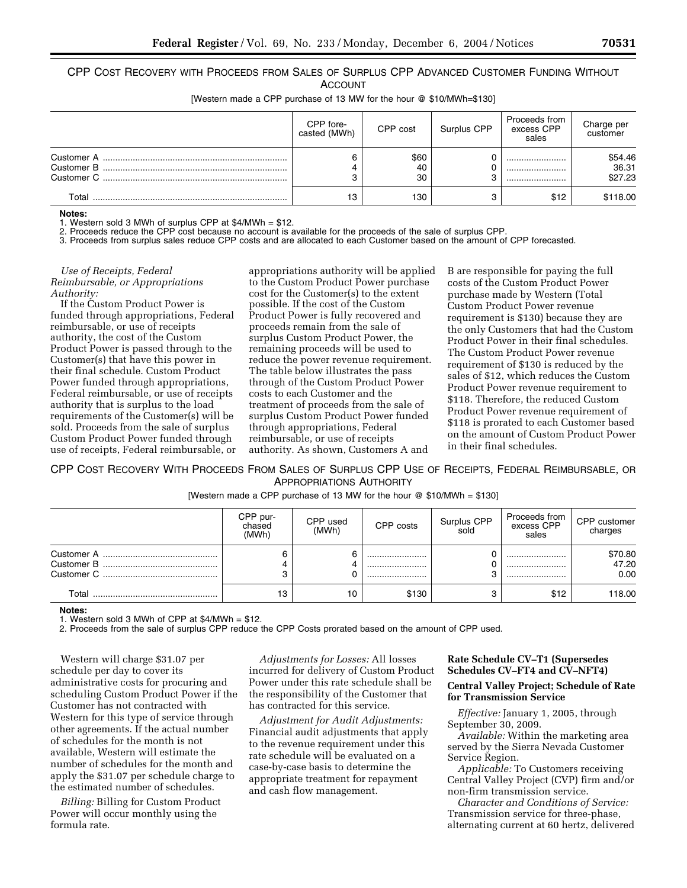CPP COST RECOVERY WITH PROCEEDS FROM SALES OF SURPLUS CPP ADVANCED CUSTOMER FUNDING WITHOUT ACCOUNT

[Western made a CPP purchase of 13 MW for the hour @ \$10/MWh=\$130]

|                          | CPP fore-<br>casted (MWh) | CPP cost         | Surplus CPP | Proceeds from<br>excess CPP<br>sales | Charge per<br>customer      |
|--------------------------|---------------------------|------------------|-------------|--------------------------------------|-----------------------------|
| Customer B<br>Customer C | ◠                         | \$60<br>40<br>30 | 3           | <br><br>                             | \$54.46<br>36.31<br>\$27.23 |
| Total                    | 13                        | 130              |             | \$12                                 | \$118.00                    |

#### **Notes:**

1. Western sold 3 MWh of surplus CPP at \$4/MWh = \$12.

2. Proceeds reduce the CPP cost because no account is available for the proceeds of the sale of surplus CPP.

3. Proceeds from surplus sales reduce CPP costs and are allocated to each Customer based on the amount of CPP forecasted.

# *Use of Receipts, Federal Reimbursable, or Appropriations Authority:*

If the Custom Product Power is funded through appropriations, Federal reimbursable, or use of receipts authority, the cost of the Custom Product Power is passed through to the Customer(s) that have this power in their final schedule. Custom Product Power funded through appropriations, Federal reimbursable, or use of receipts authority that is surplus to the load requirements of the Customer(s) will be sold. Proceeds from the sale of surplus Custom Product Power funded through use of receipts, Federal reimbursable, or

appropriations authority will be applied to the Custom Product Power purchase cost for the Customer(s) to the extent possible. If the cost of the Custom Product Power is fully recovered and proceeds remain from the sale of surplus Custom Product Power, the remaining proceeds will be used to reduce the power revenue requirement. The table below illustrates the pass through of the Custom Product Power costs to each Customer and the treatment of proceeds from the sale of surplus Custom Product Power funded through appropriations, Federal reimbursable, or use of receipts authority. As shown, Customers A and

B are responsible for paying the full costs of the Custom Product Power purchase made by Western (Total Custom Product Power revenue requirement is \$130) because they are the only Customers that had the Custom Product Power in their final schedules. The Custom Product Power revenue requirement of \$130 is reduced by the sales of \$12, which reduces the Custom Product Power revenue requirement to \$118. Therefore, the reduced Custom Product Power revenue requirement of \$118 is prorated to each Customer based on the amount of Custom Product Power in their final schedules.

CPP COST RECOVERY WITH PROCEEDS FROM SALES OF SURPLUS CPP USE OF RECEIPTS, FEDERAL REIMBURSABLE, OR APPROPRIATIONS AUTHORITY

[Western made a CPP purchase of 13 MW for the hour  $@$  \$10/MWh = \$130]

|             | CPP pur-<br>chased<br>(MWh) | CPP used<br>(MWh) | CPP costs | Surplus CPP<br>sold | Proceeds from<br>excess CPP<br>sales | CPP customer<br>charges  |
|-------------|-----------------------------|-------------------|-----------|---------------------|--------------------------------------|--------------------------|
| Customer C. |                             | 6                 | <br><br>  | c<br>د،             | <br>                                 | \$70.80<br>47.20<br>0.00 |
| Total       |                             | 10                | \$130     |                     | \$12                                 | 118.00                   |

**Notes:**

Western sold 3 MWh of CPP at  $$4/MWh = $12$ .

2. Proceeds from the sale of surplus CPP reduce the CPP Costs prorated based on the amount of CPP used.

Western will charge \$31.07 per schedule per day to cover its administrative costs for procuring and scheduling Custom Product Power if the Customer has not contracted with Western for this type of service through other agreements. If the actual number of schedules for the month is not available, Western will estimate the number of schedules for the month and apply the \$31.07 per schedule charge to the estimated number of schedules.

*Billing:* Billing for Custom Product Power will occur monthly using the formula rate.

*Adjustments for Losses:* All losses incurred for delivery of Custom Product Power under this rate schedule shall be the responsibility of the Customer that has contracted for this service.

*Adjustment for Audit Adjustments:* Financial audit adjustments that apply to the revenue requirement under this rate schedule will be evaluated on a case-by-case basis to determine the appropriate treatment for repayment and cash flow management.

# **Rate Schedule CV–T1 (Supersedes Schedules CV–FT4 and CV–NFT4)**

# **Central Valley Project; Schedule of Rate for Transmission Service**

*Effective:* January 1, 2005, through September 30, 2009.

*Available:* Within the marketing area served by the Sierra Nevada Customer Service Region.

*Applicable:* To Customers receiving Central Valley Project (CVP) firm and/or non-firm transmission service.

*Character and Conditions of Service:* Transmission service for three-phase, alternating current at 60 hertz, delivered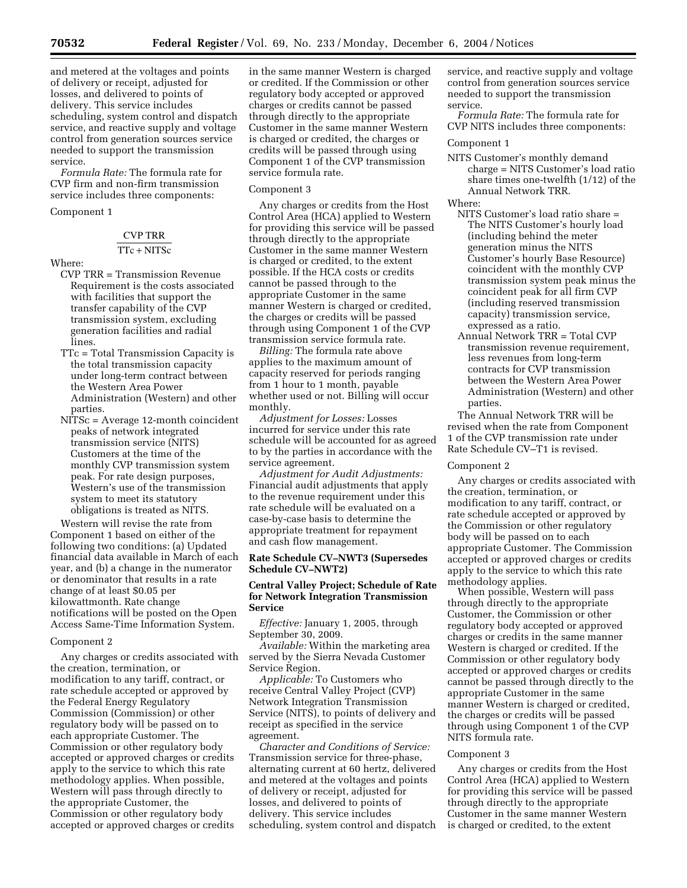and metered at the voltages and points of delivery or receipt, adjusted for losses, and delivered to points of delivery. This service includes scheduling, system control and dispatch service, and reactive supply and voltage control from generation sources service needed to support the transmission service.

*Formula Rate:* The formula rate for CVP firm and non-firm transmission service includes three components:

#### Component 1

# CVP TRR  $TTc + NITSc$

Where:

- CVP TRR = Transmission Revenue Requirement is the costs associated with facilities that support the transfer capability of the CVP transmission system, excluding generation facilities and radial lines.
- TTc = Total Transmission Capacity is the total transmission capacity under long-term contract between the Western Area Power Administration (Western) and other parties.
- NITSc = Average 12-month coincident peaks of network integrated transmission service (NITS) Customers at the time of the monthly CVP transmission system peak. For rate design purposes, Western's use of the transmission system to meet its statutory obligations is treated as NITS.

Western will revise the rate from Component 1 based on either of the following two conditions: (a) Updated financial data available in March of each year, and (b) a change in the numerator or denominator that results in a rate change of at least \$0.05 per kilowattmonth. Rate change notifications will be posted on the Open Access Same-Time Information System.

#### Component 2

Any charges or credits associated with the creation, termination, or modification to any tariff, contract, or rate schedule accepted or approved by the Federal Energy Regulatory Commission (Commission) or other regulatory body will be passed on to each appropriate Customer. The Commission or other regulatory body accepted or approved charges or credits apply to the service to which this rate methodology applies. When possible, Western will pass through directly to the appropriate Customer, the Commission or other regulatory body accepted or approved charges or credits

in the same manner Western is charged or credited. If the Commission or other regulatory body accepted or approved charges or credits cannot be passed through directly to the appropriate Customer in the same manner Western is charged or credited, the charges or credits will be passed through using Component 1 of the CVP transmission service formula rate.

#### Component 3

Any charges or credits from the Host Control Area (HCA) applied to Western for providing this service will be passed through directly to the appropriate Customer in the same manner Western is charged or credited, to the extent possible. If the HCA costs or credits cannot be passed through to the appropriate Customer in the same manner Western is charged or credited, the charges or credits will be passed through using Component 1 of the CVP transmission service formula rate.

*Billing:* The formula rate above applies to the maximum amount of capacity reserved for periods ranging from 1 hour to 1 month, payable whether used or not. Billing will occur monthly.

*Adjustment for Losses:* Losses incurred for service under this rate schedule will be accounted for as agreed to by the parties in accordance with the service agreement.

*Adjustment for Audit Adjustments:* Financial audit adjustments that apply to the revenue requirement under this rate schedule will be evaluated on a case-by-case basis to determine the appropriate treatment for repayment and cash flow management.

# **Rate Schedule CV–NWT3 (Supersedes Schedule CV–NWT2)**

# **Central Valley Project; Schedule of Rate for Network Integration Transmission Service**

*Effective:* January 1, 2005, through September 30, 2009.

*Available:* Within the marketing area served by the Sierra Nevada Customer Service Region.

*Applicable:* To Customers who receive Central Valley Project (CVP) Network Integration Transmission Service (NITS), to points of delivery and receipt as specified in the service agreement.

*Character and Conditions of Service:* Transmission service for three-phase, alternating current at 60 hertz, delivered and metered at the voltages and points of delivery or receipt, adjusted for losses, and delivered to points of delivery. This service includes scheduling, system control and dispatch

service, and reactive supply and voltage control from generation sources service needed to support the transmission service.

*Formula Rate:* The formula rate for CVP NITS includes three components:

#### Component 1

NITS Customer's monthly demand charge = NITS Customer's load ratio share times one-twelfth (1/12) of the Annual Network TRR.

Where:

- NITS Customer's load ratio share = The NITS Customer's hourly load (including behind the meter generation minus the NITS Customer's hourly Base Resource) coincident with the monthly CVP transmission system peak minus the coincident peak for all firm CVP (including reserved transmission capacity) transmission service, expressed as a ratio.
- Annual Network TRR = Total CVP transmission revenue requirement, less revenues from long-term contracts for CVP transmission between the Western Area Power Administration (Western) and other parties.

The Annual Network TRR will be revised when the rate from Component 1 of the CVP transmission rate under Rate Schedule CV–T1 is revised.

#### Component 2

Any charges or credits associated with the creation, termination, or modification to any tariff, contract, or rate schedule accepted or approved by the Commission or other regulatory body will be passed on to each appropriate Customer. The Commission accepted or approved charges or credits apply to the service to which this rate methodology applies.

When possible, Western will pass through directly to the appropriate Customer, the Commission or other regulatory body accepted or approved charges or credits in the same manner Western is charged or credited. If the Commission or other regulatory body accepted or approved charges or credits cannot be passed through directly to the appropriate Customer in the same manner Western is charged or credited, the charges or credits will be passed through using Component 1 of the CVP NITS formula rate.

#### Component 3

Any charges or credits from the Host Control Area (HCA) applied to Western for providing this service will be passed through directly to the appropriate Customer in the same manner Western is charged or credited, to the extent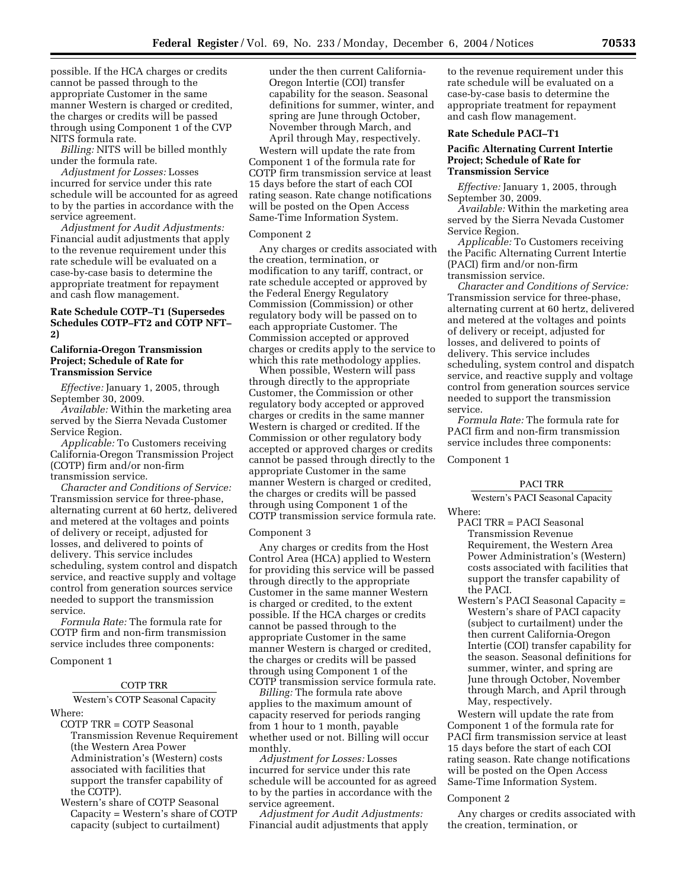possible. If the HCA charges or credits cannot be passed through to the appropriate Customer in the same manner Western is charged or credited, the charges or credits will be passed through using Component 1 of the CVP NITS formula rate.

*Billing:* NITS will be billed monthly under the formula rate.

*Adjustment for Losses:* Losses incurred for service under this rate schedule will be accounted for as agreed to by the parties in accordance with the service agreement.

*Adjustment for Audit Adjustments:* Financial audit adjustments that apply to the revenue requirement under this rate schedule will be evaluated on a case-by-case basis to determine the appropriate treatment for repayment and cash flow management.

# **Rate Schedule COTP–T1 (Supersedes Schedules COTP–FT2 and COTP NFT– 2)**

# **California-Oregon Transmission Project; Schedule of Rate for Transmission Service**

*Effective:* January 1, 2005, through September 30, 2009.

*Available:* Within the marketing area served by the Sierra Nevada Customer Service Region.

*Applicable:* To Customers receiving California-Oregon Transmission Project (COTP) firm and/or non-firm transmission service.

*Character and Conditions of Service:* Transmission service for three-phase, alternating current at 60 hertz, delivered and metered at the voltages and points of delivery or receipt, adjusted for losses, and delivered to points of delivery. This service includes scheduling, system control and dispatch service, and reactive supply and voltage control from generation sources service needed to support the transmission service.

*Formula Rate:* The formula rate for COTP firm and non-firm transmission service includes three components:

#### Component 1

#### COTP TRR

Western's COTP Seasonal Capacity Where:

- COTP TRR = COTP Seasonal Transmission Revenue Requirement (the Western Area Power Administration's (Western) costs associated with facilities that support the transfer capability of the COTP).
- Western's share of COTP Seasonal Capacity = Western's share of COTP capacity (subject to curtailment)

under the then current California-Oregon Intertie (COI) transfer capability for the season. Seasonal definitions for summer, winter, and spring are June through October, November through March, and April through May, respectively.

Western will update the rate from Component 1 of the formula rate for COTP firm transmission service at least 15 days before the start of each COI rating season. Rate change notifications will be posted on the Open Access Same-Time Information System.

# Component 2

Any charges or credits associated with the creation, termination, or modification to any tariff, contract, or rate schedule accepted or approved by the Federal Energy Regulatory Commission (Commission) or other regulatory body will be passed on to each appropriate Customer. The Commission accepted or approved charges or credits apply to the service to which this rate methodology applies.

When possible, Western will pass through directly to the appropriate Customer, the Commission or other regulatory body accepted or approved charges or credits in the same manner Western is charged or credited. If the Commission or other regulatory body accepted or approved charges or credits cannot be passed through directly to the appropriate Customer in the same manner Western is charged or credited, the charges or credits will be passed through using Component 1 of the COTP transmission service formula rate.

#### Component 3

Any charges or credits from the Host Control Area (HCA) applied to Western for providing this service will be passed through directly to the appropriate Customer in the same manner Western is charged or credited, to the extent possible. If the HCA charges or credits cannot be passed through to the appropriate Customer in the same manner Western is charged or credited, the charges or credits will be passed through using Component 1 of the COTP transmission service formula rate.

*Billing:* The formula rate above applies to the maximum amount of capacity reserved for periods ranging from 1 hour to 1 month, payable whether used or not. Billing will occur monthly.

*Adjustment for Losses:* Losses incurred for service under this rate schedule will be accounted for as agreed to by the parties in accordance with the service agreement.

*Adjustment for Audit Adjustments:* Financial audit adjustments that apply

to the revenue requirement under this rate schedule will be evaluated on a case-by-case basis to determine the appropriate treatment for repayment and cash flow management.

#### **Rate Schedule PACI–T1**

# **Pacific Alternating Current Intertie Project; Schedule of Rate for Transmission Service**

*Effective:* January 1, 2005, through September 30, 2009.

*Available:* Within the marketing area served by the Sierra Nevada Customer Service Region.

*Applicable:* To Customers receiving the Pacific Alternating Current Intertie (PACI) firm and/or non-firm transmission service.

*Character and Conditions of Service:* Transmission service for three-phase, alternating current at 60 hertz, delivered and metered at the voltages and points of delivery or receipt, adjusted for losses, and delivered to points of delivery. This service includes scheduling, system control and dispatch service, and reactive supply and voltage control from generation sources service needed to support the transmission service.

*Formula Rate:* The formula rate for PACI firm and non-firm transmission service includes three components:

#### Component 1

#### PACI TRR

Western's PACI Seasonal Capacity Where:

- PACI TRR = PACI Seasonal Transmission Revenue Requirement, the Western Area Power Administration's (Western) costs associated with facilities that support the transfer capability of the PACI.
- Western's PACI Seasonal Capacity = Western's share of PACI capacity (subject to curtailment) under the then current California-Oregon Intertie (COI) transfer capability for the season. Seasonal definitions for summer, winter, and spring are June through October, November through March, and April through May, respectively.

Western will update the rate from Component 1 of the formula rate for PACI firm transmission service at least 15 days before the start of each COI rating season. Rate change notifications will be posted on the Open Access Same-Time Information System.

#### Component 2

Any charges or credits associated with the creation, termination, or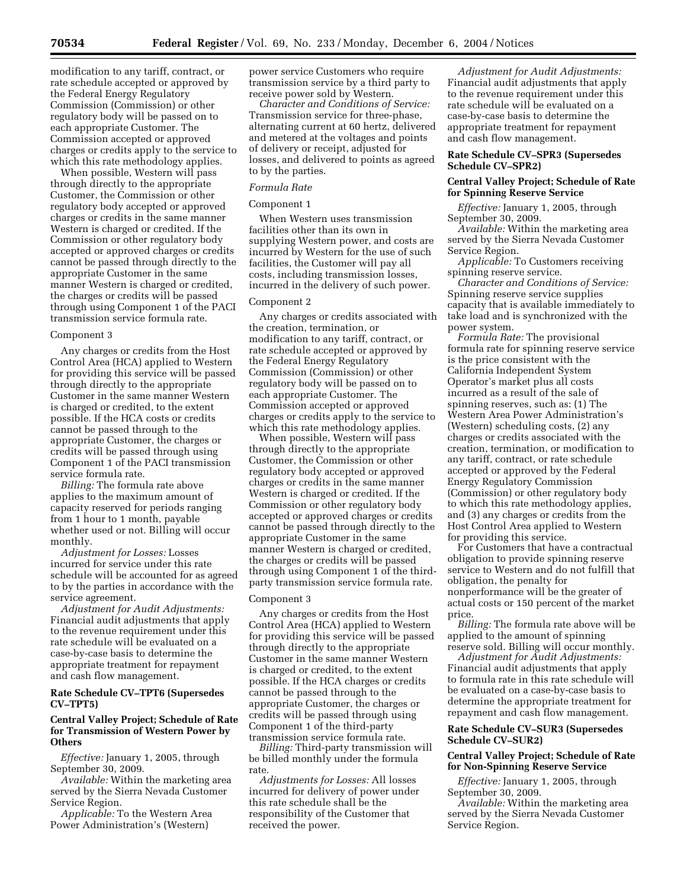modification to any tariff, contract, or rate schedule accepted or approved by the Federal Energy Regulatory Commission (Commission) or other regulatory body will be passed on to each appropriate Customer. The Commission accepted or approved charges or credits apply to the service to which this rate methodology applies.

When possible, Western will pass through directly to the appropriate Customer, the Commission or other regulatory body accepted or approved charges or credits in the same manner Western is charged or credited. If the Commission or other regulatory body accepted or approved charges or credits cannot be passed through directly to the appropriate Customer in the same manner Western is charged or credited, the charges or credits will be passed through using Component 1 of the PACI transmission service formula rate.

#### Component 3

Any charges or credits from the Host Control Area (HCA) applied to Western for providing this service will be passed through directly to the appropriate Customer in the same manner Western is charged or credited, to the extent possible. If the HCA costs or credits cannot be passed through to the appropriate Customer, the charges or credits will be passed through using Component 1 of the PACI transmission service formula rate.

*Billing:* The formula rate above applies to the maximum amount of capacity reserved for periods ranging from 1 hour to 1 month, payable whether used or not. Billing will occur monthly.

*Adjustment for Losses:* Losses incurred for service under this rate schedule will be accounted for as agreed to by the parties in accordance with the service agreement.

*Adjustment for Audit Adjustments:* Financial audit adjustments that apply to the revenue requirement under this rate schedule will be evaluated on a case-by-case basis to determine the appropriate treatment for repayment and cash flow management.

#### **Rate Schedule CV–TPT6 (Supersedes CV–TPT5)**

# **Central Valley Project; Schedule of Rate for Transmission of Western Power by Others**

*Effective:* January 1, 2005, through September 30, 2009.

*Available:* Within the marketing area served by the Sierra Nevada Customer Service Region.

*Applicable:* To the Western Area Power Administration's (Western)

power service Customers who require transmission service by a third party to receive power sold by Western.

*Character and Conditions of Service:* Transmission service for three-phase, alternating current at 60 hertz, delivered and metered at the voltages and points of delivery or receipt, adjusted for losses, and delivered to points as agreed to by the parties.

# *Formula Rate*

#### Component 1

When Western uses transmission facilities other than its own in supplying Western power, and costs are incurred by Western for the use of such facilities, the Customer will pay all costs, including transmission losses, incurred in the delivery of such power.

#### Component 2

Any charges or credits associated with the creation, termination, or modification to any tariff, contract, or rate schedule accepted or approved by the Federal Energy Regulatory Commission (Commission) or other regulatory body will be passed on to each appropriate Customer. The Commission accepted or approved charges or credits apply to the service to which this rate methodology applies.

When possible, Western will pass through directly to the appropriate Customer, the Commission or other regulatory body accepted or approved charges or credits in the same manner Western is charged or credited. If the Commission or other regulatory body accepted or approved charges or credits cannot be passed through directly to the appropriate Customer in the same manner Western is charged or credited, the charges or credits will be passed through using Component 1 of the thirdparty transmission service formula rate.

#### Component 3

Any charges or credits from the Host Control Area (HCA) applied to Western for providing this service will be passed through directly to the appropriate Customer in the same manner Western is charged or credited, to the extent possible. If the HCA charges or credits cannot be passed through to the appropriate Customer, the charges or credits will be passed through using Component 1 of the third-party transmission service formula rate.

*Billing:* Third-party transmission will be billed monthly under the formula rate.

*Adjustments for Losses:* All losses incurred for delivery of power under this rate schedule shall be the responsibility of the Customer that received the power.

*Adjustment for Audit Adjustments:* Financial audit adjustments that apply to the revenue requirement under this rate schedule will be evaluated on a case-by-case basis to determine the appropriate treatment for repayment and cash flow management.

# **Rate Schedule CV–SPR3 (Supersedes Schedule CV–SPR2)**

# **Central Valley Project; Schedule of Rate for Spinning Reserve Service**

*Effective:* January 1, 2005, through September 30, 2009.

*Available:* Within the marketing area served by the Sierra Nevada Customer Service Region.

*Applicable:* To Customers receiving spinning reserve service.

*Character and Conditions of Service:* Spinning reserve service supplies capacity that is available immediately to take load and is synchronized with the power system.

*Formula Rate:* The provisional formula rate for spinning reserve service is the price consistent with the California Independent System Operator's market plus all costs incurred as a result of the sale of spinning reserves, such as: (1) The Western Area Power Administration's (Western) scheduling costs, (2) any charges or credits associated with the creation, termination, or modification to any tariff, contract, or rate schedule accepted or approved by the Federal Energy Regulatory Commission (Commission) or other regulatory body to which this rate methodology applies, and (3) any charges or credits from the Host Control Area applied to Western for providing this service.

For Customers that have a contractual obligation to provide spinning reserve service to Western and do not fulfill that obligation, the penalty for nonperformance will be the greater of actual costs or 150 percent of the market price.

*Billing:* The formula rate above will be applied to the amount of spinning reserve sold. Billing will occur monthly.

*Adjustment for Audit Adjustments:* Financial audit adjustments that apply to formula rate in this rate schedule will be evaluated on a case-by-case basis to determine the appropriate treatment for repayment and cash flow management.

# **Rate Schedule CV–SUR3 (Supersedes Schedule CV–SUR2)**

# **Central Valley Project; Schedule of Rate for Non-Spinning Reserve Service**

*Effective:* January 1, 2005, through September 30, 2009.

*Available:* Within the marketing area served by the Sierra Nevada Customer Service Region.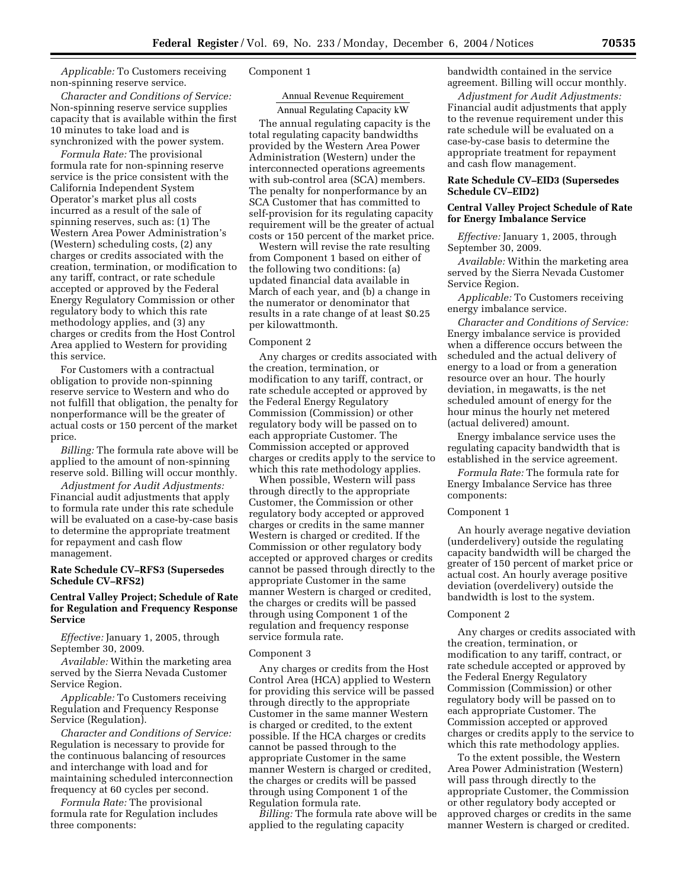*Applicable:* To Customers receiving non-spinning reserve service.

*Character and Conditions of Service:* Non-spinning reserve service supplies capacity that is available within the first 10 minutes to take load and is synchronized with the power system.

*Formula Rate:* The provisional formula rate for non-spinning reserve service is the price consistent with the California Independent System Operator's market plus all costs incurred as a result of the sale of spinning reserves, such as: (1) The Western Area Power Administration's (Western) scheduling costs, (2) any charges or credits associated with the creation, termination, or modification to any tariff, contract, or rate schedule accepted or approved by the Federal Energy Regulatory Commission or other regulatory body to which this rate methodology applies, and (3) any charges or credits from the Host Control Area applied to Western for providing this service.

For Customers with a contractual obligation to provide non-spinning reserve service to Western and who do not fulfill that obligation, the penalty for nonperformance will be the greater of actual costs or 150 percent of the market price.

*Billing:* The formula rate above will be applied to the amount of non-spinning reserve sold. Billing will occur monthly.

*Adjustment for Audit Adjustments:* Financial audit adjustments that apply to formula rate under this rate schedule will be evaluated on a case-by-case basis to determine the appropriate treatment for repayment and cash flow management.

# **Rate Schedule CV–RFS3 (Supersedes Schedule CV–RFS2)**

# **Central Valley Project; Schedule of Rate for Regulation and Frequency Response Service**

*Effective:* January 1, 2005, through September 30, 2009.

*Available:* Within the marketing area served by the Sierra Nevada Customer Service Region.

*Applicable:* To Customers receiving Regulation and Frequency Response Service (Regulation).

*Character and Conditions of Service:* Regulation is necessary to provide for the continuous balancing of resources and interchange with load and for maintaining scheduled interconnection frequency at 60 cycles per second.

*Formula Rate:* The provisional formula rate for Regulation includes three components:

Component 1

# Annual Revenue Requirement

Annual Regulating Capacity kW The annual regulating capacity is the total regulating capacity bandwidths provided by the Western Area Power Administration (Western) under the interconnected operations agreements with sub-control area (SCA) members. The penalty for nonperformance by an SCA Customer that has committed to self-provision for its regulating capacity requirement will be the greater of actual costs or 150 percent of the market price.

Western will revise the rate resulting from Component 1 based on either of the following two conditions: (a) updated financial data available in March of each year, and (b) a change in the numerator or denominator that results in a rate change of at least \$0.25 per kilowattmonth.

#### Component 2

Any charges or credits associated with the creation, termination, or modification to any tariff, contract, or rate schedule accepted or approved by the Federal Energy Regulatory Commission (Commission) or other regulatory body will be passed on to each appropriate Customer. The Commission accepted or approved charges or credits apply to the service to which this rate methodology applies.

When possible, Western will pass through directly to the appropriate Customer, the Commission or other regulatory body accepted or approved charges or credits in the same manner Western is charged or credited. If the Commission or other regulatory body accepted or approved charges or credits cannot be passed through directly to the appropriate Customer in the same manner Western is charged or credited, the charges or credits will be passed through using Component 1 of the regulation and frequency response service formula rate.

#### Component 3

Any charges or credits from the Host Control Area (HCA) applied to Western for providing this service will be passed through directly to the appropriate Customer in the same manner Western is charged or credited, to the extent possible. If the HCA charges or credits cannot be passed through to the appropriate Customer in the same manner Western is charged or credited, the charges or credits will be passed through using Component 1 of the Regulation formula rate.

*Billing:* The formula rate above will be applied to the regulating capacity

bandwidth contained in the service agreement. Billing will occur monthly.

*Adjustment for Audit Adjustments:* Financial audit adjustments that apply to the revenue requirement under this rate schedule will be evaluated on a case-by-case basis to determine the appropriate treatment for repayment and cash flow management.

#### **Rate Schedule CV–EID3 (Supersedes Schedule CV–EID2)**

# **Central Valley Project Schedule of Rate for Energy Imbalance Service**

*Effective:* January 1, 2005, through September 30, 2009.

*Available:* Within the marketing area served by the Sierra Nevada Customer Service Region.

*Applicable:* To Customers receiving energy imbalance service.

*Character and Conditions of Service:* Energy imbalance service is provided when a difference occurs between the scheduled and the actual delivery of energy to a load or from a generation resource over an hour. The hourly deviation, in megawatts, is the net scheduled amount of energy for the hour minus the hourly net metered (actual delivered) amount.

Energy imbalance service uses the regulating capacity bandwidth that is established in the service agreement.

*Formula Rate:* The formula rate for Energy Imbalance Service has three components:

#### Component 1

An hourly average negative deviation (underdelivery) outside the regulating capacity bandwidth will be charged the greater of 150 percent of market price or actual cost. An hourly average positive deviation (overdelivery) outside the bandwidth is lost to the system.

#### Component 2

Any charges or credits associated with the creation, termination, or modification to any tariff, contract, or rate schedule accepted or approved by the Federal Energy Regulatory Commission (Commission) or other regulatory body will be passed on to each appropriate Customer. The Commission accepted or approved charges or credits apply to the service to which this rate methodology applies.

To the extent possible, the Western Area Power Administration (Western) will pass through directly to the appropriate Customer, the Commission or other regulatory body accepted or approved charges or credits in the same manner Western is charged or credited.